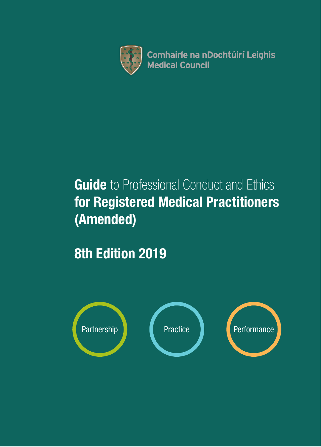

**Comhairle na nDochtúirí Leighis Medical Council** 

# **Guide** to Professional Conduct and Ethics for Registered Medical Practitioners (Amended)

8th Edition 2019

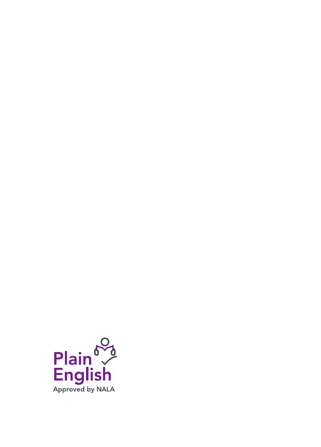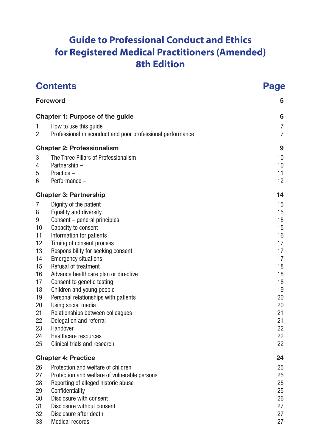## **Guide to Professional Conduct and Ethics for Registered Medical Practitioners (Amended) 8th Edition**

| <b>Contents</b> |                                                                                    | <b>Page</b> |  |
|-----------------|------------------------------------------------------------------------------------|-------------|--|
| <b>Foreword</b> |                                                                                    | 5           |  |
|                 | Chapter 1: Purpose of the guide                                                    | 6           |  |
| 1<br>2          | How to use this quide<br>Professional misconduct and poor professional performance | 7<br>7      |  |
|                 | <b>Chapter 2: Professionalism</b>                                                  | 9           |  |
| 3               | The Three Pillars of Professionalism -                                             | 10          |  |
| 4               | Partnership-                                                                       | 10          |  |
| 5               | Practice -                                                                         | 11          |  |
| 6               | Performance -                                                                      | 12          |  |
|                 | <b>Chapter 3: Partnership</b>                                                      | 14          |  |
| 7               | Dignity of the patient                                                             | 15          |  |
| 8               | Equality and diversity                                                             | 15          |  |
| 9               | Consent - general principles                                                       | 15          |  |
| 10<br>11        | Capacity to consent<br>Information for patients                                    | 15<br>16    |  |
| 12              | Timing of consent process                                                          | 17          |  |
| 13              | Responsibility for seeking consent                                                 | 17          |  |
| 14              | <b>Emergency situations</b>                                                        | 17          |  |
| 15              | Refusal of treatment                                                               | 18          |  |
| 16              | Advance healthcare plan or directive                                               | 18          |  |
| 17              | Consent to genetic testing                                                         | 18          |  |
| 18              | Children and young people                                                          | 19          |  |
| 19              | Personal relationships with patients                                               | 20          |  |
| 20<br>21        | Using social media                                                                 | 20<br>21    |  |
| 22              | Relationships between colleagues<br>Delegation and referral                        | 21          |  |
| 23              | Handover                                                                           | 22          |  |
| 24              | Healthcare resources                                                               | 22          |  |
| 25              | Clinical trials and research                                                       | 22          |  |
|                 | <b>Chapter 4: Practice</b>                                                         | 24          |  |
| 26              | Protection and welfare of children                                                 | 25          |  |
| 27              | Protection and welfare of vulnerable persons                                       | 25          |  |
| 28              | Reporting of alleged historic abuse                                                | 25          |  |
| 29              | Confidentiality                                                                    | 25          |  |
| 30              | Disclosure with consent                                                            | 26          |  |
| 31              | Disclosure without consent                                                         | 27<br>27    |  |
| 32<br>33        | Disclosure after death<br><b>Medical records</b>                                   | 27          |  |
|                 |                                                                                    |             |  |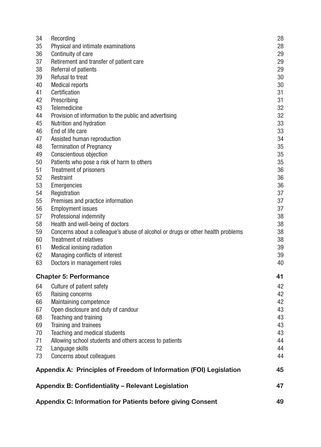| 34                                                               | Recording                                                                       | 28 |
|------------------------------------------------------------------|---------------------------------------------------------------------------------|----|
| 35                                                               | Physical and intimate examinations                                              | 28 |
| 36                                                               | Continuity of care                                                              | 29 |
| 37                                                               | Retirement and transfer of patient care                                         | 29 |
| 38                                                               | Referral of patients                                                            | 29 |
| 39                                                               | Refusal to treat                                                                | 30 |
| 40                                                               | <b>Medical reports</b>                                                          | 30 |
| 41                                                               | Certification                                                                   | 31 |
| 42                                                               | Prescribing                                                                     | 31 |
| 43                                                               | Telemedicine                                                                    | 32 |
| 44                                                               | Provision of information to the public and advertising                          | 32 |
| 45                                                               | Nutrition and hydration                                                         | 33 |
| 46                                                               | End of life care                                                                | 33 |
| 47                                                               | Assisted human reproduction                                                     | 34 |
| 48                                                               | <b>Termination of Pregnancy</b>                                                 | 35 |
| 49                                                               | Conscientious objection                                                         | 35 |
| 50                                                               | Patients who pose a risk of harm to others                                      | 35 |
| 51                                                               | Treatment of prisoners                                                          | 36 |
| 52                                                               | Restraint                                                                       | 36 |
| 53                                                               | Emergencies                                                                     | 36 |
| 54                                                               | Registration                                                                    | 37 |
| 55                                                               | Premises and practice information                                               | 37 |
| 56                                                               | <b>Employment issues</b>                                                        | 37 |
| 57                                                               | Professional indemnity                                                          | 38 |
| 58                                                               | Health and well-being of doctors                                                | 38 |
| 59                                                               | Concerns about a colleague's abuse of alcohol or drugs or other health problems | 38 |
| 60                                                               | <b>Treatment of relatives</b>                                                   | 38 |
| 61                                                               | Medical ionising radiation                                                      | 39 |
| 62                                                               | Managing conflicts of interest                                                  | 39 |
| 63                                                               | Doctors in management roles                                                     | 40 |
|                                                                  |                                                                                 |    |
|                                                                  | <b>Chapter 5: Performance</b>                                                   | 41 |
| 64                                                               | Culture of patient safety                                                       | 42 |
| 65                                                               | Raising concerns                                                                | 42 |
| 66                                                               | Maintaining competence                                                          | 42 |
| 67                                                               | Open disclosure and duty of candour                                             | 43 |
| 68                                                               | Teaching and training                                                           | 43 |
| 69                                                               | Training and trainees                                                           | 43 |
| 70                                                               | Teaching and medical students                                                   | 43 |
| 71                                                               | Allowing school students and others access to patients                          | 44 |
| 72                                                               | Language skills                                                                 | 44 |
| 73                                                               | Concerns about colleagues                                                       | 44 |
|                                                                  | Appendix A: Principles of Freedom of Information (FOI) Legislation              | 45 |
|                                                                  | Appendix B: Confidentiality - Relevant Legislation                              | 47 |
| 49<br>Appendix C: Information for Patients before giving Consent |                                                                                 |    |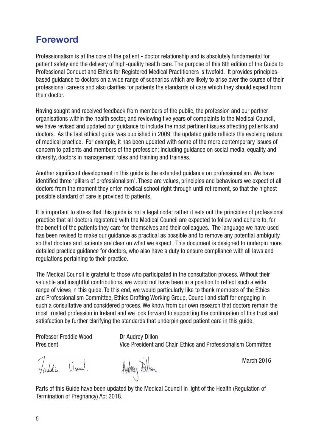## Foreword

Professionalism is at the core of the patient - doctor relationship and is absolutely fundamental for patient safety and the delivery of high-quality health care. The purpose of this 8th edition of the Guide to Professional Conduct and Ethics for Registered Medical Practitioners is twofold. It provides principlesbased guidance to doctors on a wide range of scenarios which are likely to arise over the course of their professional careers and also clarifies for patients the standards of care which they should expect from their doctor.

Having sought and received feedback from members of the public, the profession and our partner organisations within the health sector, and reviewing five years of complaints to the Medical Council, we have revised and updated our guidance to include the most pertinent issues affecting patients and doctors. As the last ethical guide was published in 2009, the updated guide reflects the evolving nature of medical practice. For example, it has been updated with some of the more contemporary issues of concern to patients and members of the profession; including guidance on social media, equality and diversity, doctors in management roles and training and trainees.

Another significant development in this guide is the extended guidance on professionalism. We have identified three 'pillars of professionalism'. These are values, principles and behaviours we expect of all doctors from the moment they enter medical school right through until retirement, so that the highest possible standard of care is provided to patients.

It is important to stress that this quide is not a legal code; rather it sets out the principles of professional practice that all doctors registered with the Medical Council are expected to follow and adhere to, for the benefit of the patients they care for, themselves and their colleagues. The language we have used has been revised to make our guidance as practical as possible and to remove any potential ambiguity so that doctors and patients are clear on what we expect. This document is designed to underpin more detailed practice guidance for doctors, who also have a duty to ensure compliance with all laws and regulations pertaining to their practice.

The Medical Council is grateful to those who participated in the consultation process. Without their valuable and insightful contributions, we would not have been in a position to reflect such a wide range of views in this guide. To this end, we would particularly like to thank members of the Ethics and Professionalism Committee, Ethics Drafting Working Group, Council and staff for engaging in such a consultative and considered process. We know from our own research that doctors remain the most trusted profession in Ireland and we look forward to supporting the continuation of this trust and satisfaction by further clarifying the standards that underpin good patient care in this guide.

Professor Freddie Wood Dr Audrey Dillon

President Vice President and Chair, Ethics and Professionalism Committee

Freddie Wood.

Audrey Dilan

Parts of this Guide have been updated by the Medical Council in light of the Health (Regulation of Termination of Pregnancy) Act 2018.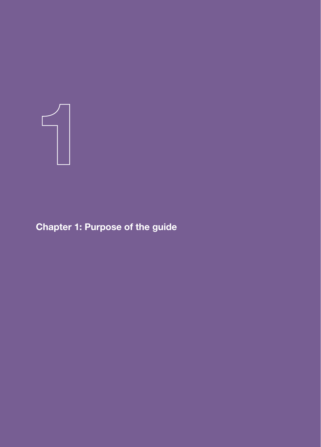

Chapter 1: Purpose of the guide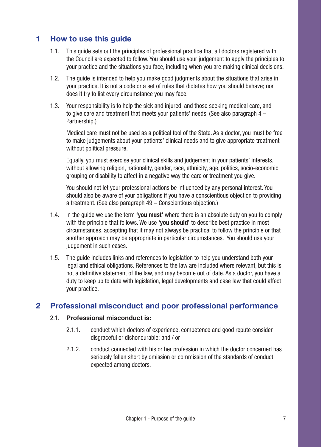### 1 How to use this guide

- 1.1. This guide sets out the principles of professional practice that all doctors registered with the Council are expected to follow. You should use your judgement to apply the principles to your practice and the situations you face, including when you are making clinical decisions.
- 1.2. The guide is intended to help you make good judgments about the situations that arise in your practice. It is not a code or a set of rules that dictates how you should behave; nor does it try to list every circumstance you may face.
- 1.3. Your responsibility is to help the sick and injured, and those seeking medical care, and to give care and treatment that meets your patients' needs. (See also paragraph 4 – Partnership.)

Medical care must not be used as a political tool of the State. As a doctor, you must be free to make judgements about your patients' clinical needs and to give appropriate treatment without political pressure.

Equally, you must exercise your clinical skills and judgement in your patients' interests, without allowing religion, nationality, gender, race, ethnicity, age, politics, socio-economic grouping or disability to affect in a negative way the care or treatment you give.

You should not let your professional actions be influenced by any personal interest. You should also be aware of your obligations if you have a conscientious objection to providing a treatment. (See also paragraph 49 – Conscientious objection.)

- 1.4. In the quide we use the term 'vou must' where there is an absolute duty on you to comply with the principle that follows. We use 'vou should' to describe best practice in most circumstances, accepting that it may not always be practical to follow the principle or that another approach may be appropriate in particular circumstances. You should use your judgement in such cases.
- 1.5. The guide includes links and references to legislation to help you understand both your legal and ethical obligations. References to the law are included where relevant, but this is not a definitive statement of the law, and may become out of date. As a doctor, you have a duty to keep up to date with legislation, legal developments and case law that could affect your practice.

### 2 Professional misconduct and poor professional performance

#### 2.1. Professional misconduct is:

- 2.1.1. conduct which doctors of experience, competence and good repute consider disgraceful or dishonourable; and / or
- 2.1.2. conduct connected with his or her profession in which the doctor concerned has seriously fallen short by omission or commission of the standards of conduct expected among doctors.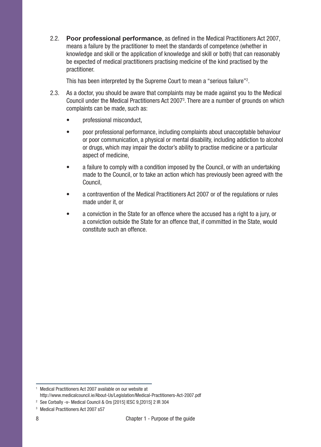2.2. Poor professional performance, as defined in the Medical Practitioners Act 2007, means a failure by the practitioner to meet the standards of competence (whether in knowledge and skill or the application of knowledge and skill or both) that can reasonably be expected of medical practitioners practising medicine of the kind practised by the practitioner.

This has been interpreted by the Supreme Court to mean a "serious failure"<sup>2</sup>.

- 2.3. As a doctor, you should be aware that complaints may be made against you to the Medical Council under the Medical Practitioners Act 2007<sup>3</sup>. There are a number of grounds on which complaints can be made, such as:
	- professional misconduct,
	- poor professional performance, including complaints about unacceptable behaviour or poor communication, a physical or mental disability, including addiction to alcohol or drugs, which may impair the doctor's ability to practise medicine or a particular aspect of medicine,
	- a failure to comply with a condition imposed by the Council, or with an undertaking made to the Council, or to take an action which has previously been agreed with the Council,
	- a contravention of the Medical Practitioners Act 2007 or of the regulations or rules made under it, or
	- a conviction in the State for an offence where the accused has a right to a jury, or a conviction outside the State for an offence that, if committed in the State, would constitute such an offence.

<sup>&</sup>lt;sup>1</sup> Medical Practitioners Act 2007 available on our website at http://www.medicalcouncil.ie/About-Us/Legislation/Medical-Practitioners-Act-2007.pdf

<sup>2</sup> See Corbally -v- Medical Council & Ors [2015] IESC 9,[2015] 2 IR 304

<sup>3</sup> Medical Practitioners Act 2007 s57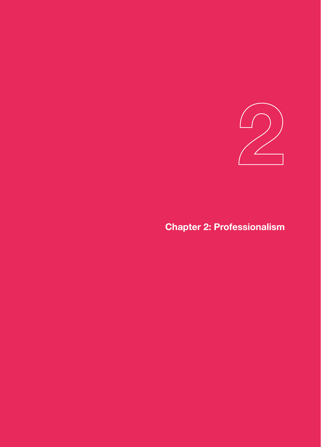

## Chapter 2: Professionalism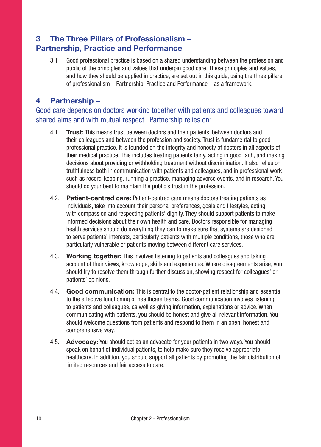### 3 The Three Pillars of Professionalism – Partnership, Practice and Performance

3.1 Good professional practice is based on a shared understanding between the profession and public of the principles and values that underpin good care. These principles and values, and how they should be applied in practice, are set out in this guide, using the three pillars of professionalism – Partnership, Practice and Performance – as a framework.

### 4 Partnership –

### Good care depends on doctors working together with patients and colleagues toward shared aims and with mutual respect. Partnership relies on:

- 4.1. Trust: This means trust between doctors and their patients, between doctors and their colleagues and between the profession and society. Trust is fundamental to good professional practice. It is founded on the integrity and honesty of doctors in all aspects of their medical practice. This includes treating patients fairly, acting in good faith, and making decisions about providing or withholding treatment without discrimination. It also relies on truthfulness both in communication with patients and colleagues, and in professional work such as record-keeping, running a practice, managing adverse events, and in research. You should do your best to maintain the public's trust in the profession.
- 4.2. Patient-centred care: Patient-centred care means doctors treating patients as individuals, take into account their personal preferences, goals and lifestyles, acting with compassion and respecting patients' dignity. They should support patients to make informed decisions about their own health and care. Doctors responsible for managing health services should do everything they can to make sure that systems are designed to serve patients' interests, particularly patients with multiple conditions, those who are particularly vulnerable or patients moving between different care services.
- 4.3. Working together: This involves listening to patients and colleagues and taking account of their views, knowledge, skills and experiences. Where disagreements arise, you should try to resolve them through further discussion, showing respect for colleagues' or patients' opinions.
- 4.4. Good communication: This is central to the doctor-patient relationship and essential to the effective functioning of healthcare teams. Good communication involves listening to patients and colleagues, as well as giving information, explanations or advice. When communicating with patients, you should be honest and give all relevant information. You should welcome questions from patients and respond to them in an open, honest and comprehensive way.
- 4.5. Advocacy: You should act as an advocate for your patients in two ways. You should speak on behalf of individual patients, to help make sure they receive appropriate healthcare. In addition, you should support all patients by promoting the fair distribution of limited resources and fair access to care.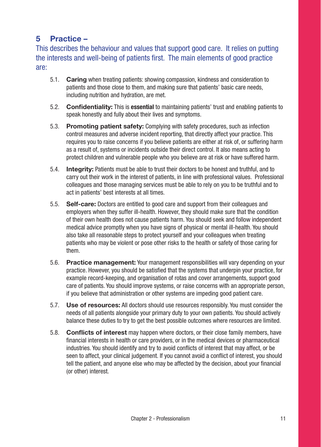### 5 Practice –

This describes the behaviour and values that support good care. It relies on putting the interests and well-being of patients first. The main elements of good practice are:

- 5.1. Caring when treating patients: showing compassion, kindness and consideration to patients and those close to them, and making sure that patients' basic care needs, including nutrition and hydration, are met.
- 5.2. Confidentiality: This is essential to maintaining patients' trust and enabling patients to speak honestly and fully about their lives and symptoms.
- 5.3. Promoting patient safety: Complying with safety procedures, such as infection control measures and adverse incident reporting, that directly affect your practice. This requires you to raise concerns if you believe patients are either at risk of, or suffering harm as a result of, systems or incidents outside their direct control. It also means acting to protect children and vulnerable people who you believe are at risk or have suffered harm.
- 5.4. Integrity: Patients must be able to trust their doctors to be honest and truthful, and to carry out their work in the interest of patients, in line with professional values. Professional colleagues and those managing services must be able to rely on you to be truthful and to act in patients' best interests at all times.
- 5.5. Self-care: Doctors are entitled to good care and support from their colleagues and employers when they suffer ill-health. However, they should make sure that the condition of their own health does not cause patients harm. You should seek and follow independent medical advice promptly when you have signs of physical or mental ill-health. You should also take all reasonable steps to protect yourself and your colleagues when treating patients who may be violent or pose other risks to the health or safety of those caring for them.
- 5.6. Practice management: Your management responsibilities will vary depending on your practice. However, you should be satisfied that the systems that underpin your practice, for example record-keeping, and organisation of rotas and cover arrangements, support good care of patients. You should improve systems, or raise concerns with an appropriate person, if you believe that administration or other systems are impeding good patient care.
- 5.7. Use of resources: All doctors should use resources responsibly. You must consider the needs of all patients alongside your primary duty to your own patients. You should actively balance these duties to try to get the best possible outcomes where resources are limited.
- 5.8. Conflicts of interest may happen where doctors, or their close family members, have financial interests in health or care providers, or in the medical devices or pharmaceutical industries. You should identify and try to avoid conflicts of interest that may affect, or be seen to affect, your clinical judgement. If you cannot avoid a conflict of interest, you should tell the patient, and anyone else who may be affected by the decision, about your financial (or other) interest.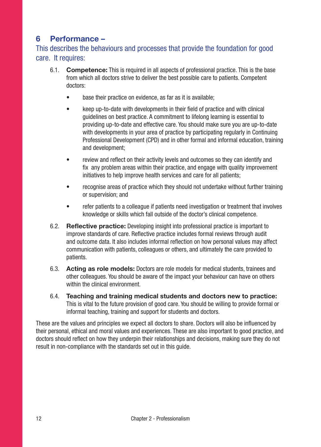### 6 Performance –

This describes the behaviours and processes that provide the foundation for good care. It requires:

- 6.1. Competence: This is required in all aspects of professional practice. This is the base from which all doctors strive to deliver the best possible care to patients. Competent doctors:
	- base their practice on evidence, as far as it is available;
	- keep up-to-date with developments in their field of practice and with clinical guidelines on best practice. A commitment to lifelong learning is essential to providing up-to-date and effective care. You should make sure you are up-to-date with developments in your area of practice by participating regularly in Continuing Professional Development (CPD) and in other formal and informal education, training and development;
	- review and reflect on their activity levels and outcomes so they can identify and fix any problem areas within their practice, and engage with quality improvement initiatives to help improve health services and care for all patients:
	- recognise areas of practice which they should not undertake without further training or supervision; and
	- refer patients to a colleague if patients need investigation or treatment that involves knowledge or skills which fall outside of the doctor's clinical competence.
- 6.2. Reflective practice: Developing insight into professional practice is important to improve standards of care. Reflective practice includes formal reviews through audit and outcome data. It also includes informal reflection on how personal values may affect communication with patients, colleagues or others, and ultimately the care provided to patients.
- 6.3. Acting as role models: Doctors are role models for medical students, trainees and other colleagues. You should be aware of the impact your behaviour can have on others within the clinical environment.
- 6.4. Teaching and training medical students and doctors new to practice: This is vital to the future provision of good care. You should be willing to provide formal or informal teaching, training and support for students and doctors.

These are the values and principles we expect all doctors to share. Doctors will also be influenced by their personal, ethical and moral values and experiences. These are also important to good practice, and doctors should reflect on how they underpin their relationships and decisions, making sure they do not result in non-compliance with the standards set out in this guide.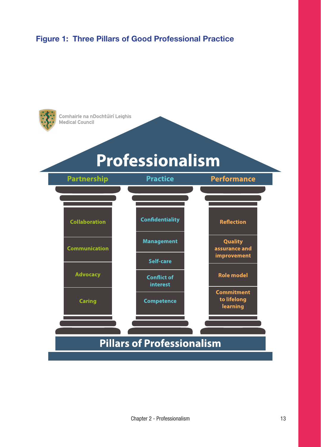### Figure 1: Three Pillars of Good Professional Practice

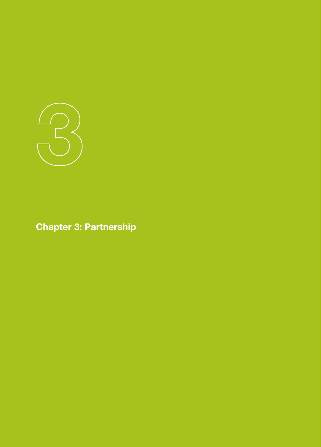

Chapter 3: Partnership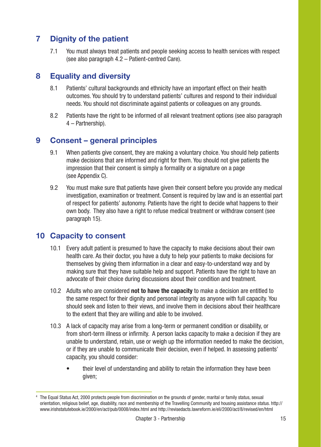### 7 Dignity of the patient

7.1 You must always treat patients and people seeking access to health services with respect (see also paragraph 4.2 – Patient-centred Care).

### 8 Equality and diversity

- 8.1 Patients' cultural backgrounds and ethnicity have an important effect on their health outcomes. You should try to understand patients' cultures and respond to their individual needs. You should not discriminate against patients or colleagues on any grounds.
- 8.2 Patients have the right to be informed of all relevant treatment options (see also paragraph 4 – Partnership).

### 9 Consent – general principles

- 9.1 When patients give consent, they are making a voluntary choice. You should help patients make decisions that are informed and right for them. You should not give patients the impression that their consent is simply a formality or a signature on a page (see Appendix C).
- 9.2 You must make sure that patients have given their consent before you provide any medical investigation, examination or treatment. Consent is required by law and is an essential part of respect for patients' autonomy. Patients have the right to decide what happens to their own body. They also have a right to refuse medical treatment or withdraw consent (see paragraph 15).

### 10 Capacity to consent

- 10.1 Every adult patient is presumed to have the capacity to make decisions about their own health care. As their doctor, you have a duty to help your patients to make decisions for themselves by giving them information in a clear and easy-to-understand way and by making sure that they have suitable help and support. Patients have the right to have an advocate of their choice during discussions about their condition and treatment.
- 10.2 Adults who are considered not to have the capacity to make a decision are entitled to the same respect for their dignity and personal integrity as anyone with full capacity. You should seek and listen to their views, and involve them in decisions about their healthcare to the extent that they are willing and able to be involved.
- 10.3 A lack of capacity may arise from a long-term or permanent condition or disability, or from short-term illness or infirmity. A person lacks capacity to make a decision if they are unable to understand, retain, use or weigh up the information needed to make the decision, or if they are unable to communicate their decision, even if helped. In assessing patients' capacity, you should consider:
	- their level of understanding and ability to retain the information they have been given;

<sup>&</sup>lt;sup>4</sup> The Equal Status Act, 2000 protects people from discrimination on the grounds of gender, marital or family status, sexual orientation, religious belief, age, disability, race and membership of the Travelling Community and housing assistance status. http:// www.irishstatutebook.ie/2000/en/act/pub/0008/index.html and http://revisedacts.lawreform.ie/eli/2000/act/8/revised/en/html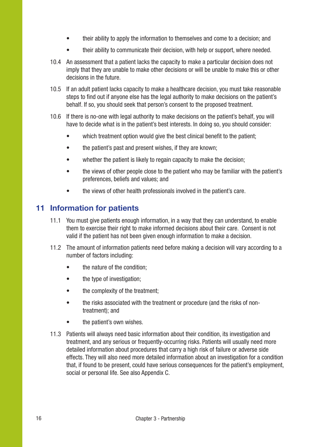- their ability to apply the information to themselves and come to a decision; and
- their ability to communicate their decision, with help or support, where needed.
- 10.4 An assessment that a patient lacks the capacity to make a particular decision does not imply that they are unable to make other decisions or will be unable to make this or other decisions in the future.
- 10.5 If an adult patient lacks capacity to make a healthcare decision, you must take reasonable steps to find out if anyone else has the legal authority to make decisions on the patient's behalf. If so, you should seek that person's consent to the proposed treatment.
- 10.6 If there is no-one with legal authority to make decisions on the patient's behalf, you will have to decide what is in the patient's best interests. In doing so, you should consider:
	- which treatment option would give the best clinical benefit to the patient:
	- the patient's past and present wishes, if they are known;
	- whether the patient is likely to regain capacity to make the decision:
	- the views of other people close to the patient who may be familiar with the patient's preferences, beliefs and values; and
	- the views of other health professionals involved in the patient's care.

### 11 Information for patients

- 11.1 You must give patients enough information, in a way that they can understand, to enable them to exercise their right to make informed decisions about their care. Consent is not valid if the patient has not been given enough information to make a decision.
- 11.2 The amount of information patients need before making a decision will vary according to a number of factors including:
	- the nature of the condition;
	- the type of investigation:
	- the complexity of the treatment;
	- the risks associated with the treatment or procedure (and the risks of nontreatment); and
	- the patient's own wishes.
- 11.3 Patients will always need basic information about their condition, its investigation and treatment, and any serious or frequently-occurring risks. Patients will usually need more detailed information about procedures that carry a high risk of failure or adverse side effects. They will also need more detailed information about an investigation for a condition that, if found to be present, could have serious consequences for the patient's employment, social or personal life. See also Appendix C.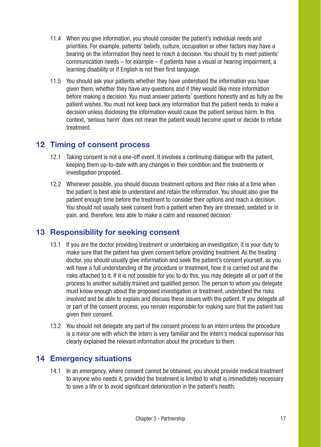- 11.4 When you give information, you should consider the patient's individual needs and priorities. For example, patients' beliefs, culture, occupation or other factors may have a bearing on the information they need to reach a decision. You should try to meet patients' communication needs – for example – if patients have a visual or hearing impairment, a learning disability or if English is not their first language.
- 11.5 You should ask your patients whether they have understood the information you have given them, whether they have any questions and if they would like more information before making a decision. You must answer patients' questions honestly and as fully as the patient wishes. You must not keep back any information that the patient needs to make a decision unless disclosing the information would cause the patient serious harm. In this context, 'serious harm' does not mean the patient would become upset or decide to refuse treatment.

### 12 Timing of consent process

- 12.1 Taking consent is not a one-off event. It involves a continuing dialogue with the patient, keeping them up-to-date with any changes in their condition and the treatments or investigation proposed.
- 12.2 Whenever possible, you should discuss treatment options and their risks at a time when the patient is best able to understand and retain the information. You should also give the patient enough time before the treatment to consider their options and reach a decision. You should not usually seek consent from a patient when they are stressed, sedated or in pain, and, therefore, less able to make a calm and reasoned decision.

### 13 Responsibility for seeking consent

- 13.1 If you are the doctor providing treatment or undertaking an investigation, it is your duty to make sure that the patient has given consent before providing treatment. As the treating doctor, you should usually give information and seek the patient's consent yourself, as you will have a full understanding of the procedure or treatment, how it is carried out and the risks attached to it. If it is not possible for you to do this, you may delegate all or part of the process to another suitably trained and qualified person. The person to whom you delegate must know enough about the proposed investigation or treatment, understand the risks involved and be able to explain and discuss these issues with the patient. If you delegate all or part of the consent process, you remain responsible for making sure that the patient has given their consent.
- 13.2 You should not delegate any part of the consent process to an intern unless the procedure is a minor one with which the intern is very familiar and the intern's medical supervisor has clearly explained the relevant information about the procedure to them.

### 14 Emergency situations

14.1 In an emergency, where consent cannot be obtained, you should provide medical treatment to anyone who needs it, provided the treatment is limited to what is immediately necessary to save a life or to avoid significant deterioration in the patient's health.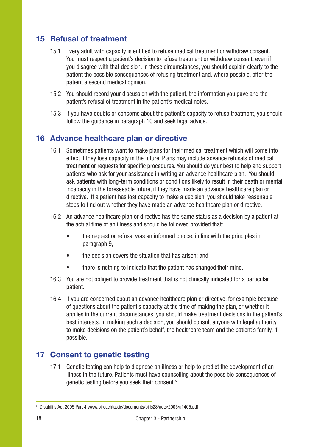### 15 Refusal of treatment

- 15.1 Every adult with capacity is entitled to refuse medical treatment or withdraw consent. You must respect a patient's decision to refuse treatment or withdraw consent, even if you disagree with that decision. In these circumstances, you should explain clearly to the patient the possible consequences of refusing treatment and, where possible, offer the patient a second medical opinion.
- 15.2 You should record your discussion with the patient, the information you gave and the patient's refusal of treatment in the patient's medical notes.
- 15.3 If you have doubts or concerns about the patient's capacity to refuse treatment, you should follow the guidance in paragraph 10 and seek legal advice.

### 16 Advance healthcare plan or directive

- 16.1 Sometimes patients want to make plans for their medical treatment which will come into effect if they lose capacity in the future. Plans may include advance refusals of medical treatment or requests for specific procedures. You should do your best to help and support patients who ask for your assistance in writing an advance healthcare plan. You should ask patients with long-term conditions or conditions likely to result in their death or mental incapacity in the foreseeable future, if they have made an advance healthcare plan or directive. If a patient has lost capacity to make a decision, you should take reasonable steps to find out whether they have made an advance healthcare plan or directive.
- 16.2 An advance healthcare plan or directive has the same status as a decision by a patient at the actual time of an illness and should be followed provided that:
	- the request or refusal was an informed choice, in line with the principles in paragraph 9;
	- the decision covers the situation that has arisen: and
	- there is nothing to indicate that the patient has changed their mind.
- 16.3 You are not obliged to provide treatment that is not clinically indicated for a particular patient.
- 16.4 If you are concerned about an advance healthcare plan or directive, for example because of questions about the patient's capacity at the time of making the plan, or whether it applies in the current circumstances, you should make treatment decisions in the patient's best interests. In making such a decision, you should consult anyone with legal authority to make decisions on the patient's behalf, the healthcare team and the patient's family, if possible.

### 17 Consent to genetic testing

17.1 Genetic testing can help to diagnose an illness or help to predict the development of an illness in the future. Patients must have counselling about the possible consequences of genetic testing before you seek their consent <sup>5</sup>.

<sup>5</sup> Disability Act 2005 Part 4 www.oireachtas.ie/documents/bills28/acts/2005/a1405.pdf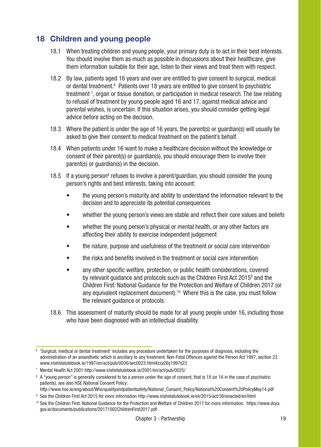### 18 Children and young people

- 18.1 When treating children and young people, your primary duty is to act in their best interests. You should involve them as much as possible in discussions about their healthcare, give them information suitable for their age, listen to their views and treat them with respect.
- 18.2 By law, patients aged 16 years and over are entitled to give consent to surgical, medical or dental treatment.<sup>6</sup> Patients over 18 years are entitled to give consent to psychiatric treatment 7 , organ or tissue donation, or participation in medical research. The law relating to refusal of treatment by young people aged 16 and 17, against medical advice and parental wishes, is uncertain. If this situation arises, you should consider getting legal advice before acting on the decision.
- 18.3 Where the patient is under the age of 16 years, the parent(s) or guardian(s) will usually be asked to give their consent to medical treatment on the patient's behalf.
- 18.4 When patients under 16 want to make a healthcare decision without the knowledge or consent of their parent(s) or guardian(s), you should encourage them to involve their parent(s) or guardian(s) in the decision.
- 18.5 If a young person<sup>8</sup> refuses to involve a parent/guardian, you should consider the young person's rights and best interests, taking into account:
	- the young person's maturity and ability to understand the information relevant to the decision and to appreciate its potential consequences
	- whether the young person's views are stable and reflect their core values and beliefs
	- whether the young person's physical or mental health, or any other factors are affecting their ability to exercise independent judgement
	- the nature, purpose and usefulness of the treatment or social care intervention
	- the risks and benefits involved in the treatment or social care intervention
	- any other specific welfare, protection, or public health considerations, covered by relevant guidance and protocols such as the Children First Act 2015<sup>9</sup> and the Children First: National Guidance for the Protection and Welfare of Children 2017 (or any equivalent replacement document).<sup>10</sup> Where this is the case, you must follow the relevant guidance or protocols.
- 18.6 This assessment of maturity should be made for all young people under 16, including those who have been diagnosed with an intellectual disability.

<sup>6</sup> 'Surgical, medical or dental treatment' includes any procedure undertaken for the purposes of diagnosis, including the administration of an anaesthetic which is ancillary to any treatment. Non-Fatal Offences against the Person Act 1997, section 23. www.irishstatutebook.ie/1997/en/act/pub/0026/sec0023.html#zza26y1997s23

<sup>7</sup> Mental Health Act 2001 http://www.irishstatutebook.ie/2001/en/act/pub/0025/

<sup>&</sup>lt;sup>8</sup> A "young person" is generally considered to be a person under the age of consent, that is 18 (or 16 in the case of psychiatric patients), see also HSE National Consent Policy:

http://www.hse.ie/eng/about/Who/qualityandpatientsafety/National\_Consent\_Policy/National%20Consent%20PolicyMay14.pdf

<sup>9</sup> See the Children First Act 2015 for more information http://www.irishstatutebook.ie/eli/2015/act/36/enacted/en/html

<sup>10</sup> See the Children First: National Guidance for the Protection and Welfare of Children 2017 for more information. https://www.dcya. gov.ie/documents/publications/20171002ChildrenFirst2017.pdf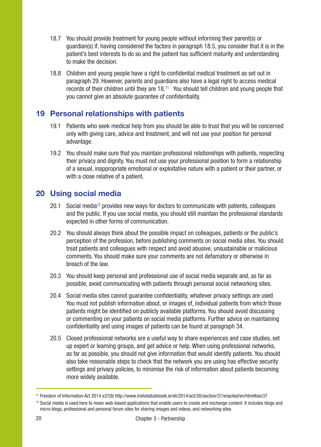- 18.7 You should provide treatment for young people without informing their parent(s) or guardian(s) if, having considered the factors in paragraph 18.5, you consider that it is in the patient's best interests to do so and the patient has sufficient maturity and understanding to make the decision.
- 18.8 Children and young people have a right to confidential medical treatment as set out in paragraph 29. However, parents and guardians also have a legal right to access medical records of their children until they are 18.<sup>11</sup> You should tell children and young people that you cannot give an absolute guarantee of confidentiality.

### 19 Personal relationships with patients

- 19.1 Patients who seek medical help from you should be able to trust that you will be concerned only with giving care, advice and treatment, and will not use your position for personal advantage.
- 19.2 You should make sure that you maintain professional relationships with patients, respecting their privacy and dignity. You must not use your professional position to form a relationship of a sexual, inappropriate emotional or exploitative nature with a patient or their partner, or with a close relative of a patient.

### 20 Using social media

- 20.1 Social media<sup>12</sup> provides new ways for doctors to communicate with patients, colleagues and the public. If you use social media, you should still maintain the professional standards expected in other forms of communication.
- 20.2 You should always think about the possible impact on colleagues, patients or the public's perception of the profession, before publishing comments on social media sites. You should treat patients and colleagues with respect and avoid abusive, unsustainable or malicious comments. You should make sure your comments are not defamatory or otherwise in breach of the law.
- 20.3 You should keep personal and professional use of social media separate and, as far as possible, avoid communicating with patients through personal social networking sites.
- 20.4 Social media sites cannot guarantee confidentiality, whatever privacy settings are used. You must not publish information about, or images of, individual patients from which those patients might be identified on publicly available platforms. You should avoid discussing or commenting on your patients on social media platforms. Further advice on maintaining confidentiality and using images of patients can be found at paragraph 34.
- 20.5 Closed professional networks are a useful way to share experiences and case studies, set up expert or learning groups, and get advice or help. When using professional networks, as far as possible, you should not give information that would identify patients. You should also take reasonable steps to check that the network you are using has effective security settings and privacy policies, to minimise the risk of information about patients becoming more widely available.

<sup>11</sup> Freedom of Information Act 2014 s37(8) http://www.irishstatutebook.ie/eli/2014/act/30/section/37/enacted/en/html#sec37

<sup>&</sup>lt;sup>12</sup> Social media is used here to mean web-based applications that enable users to create and exchange content. It includes blogs and micro blogs, professional and personal forum sites for sharing images and videos, and networking sites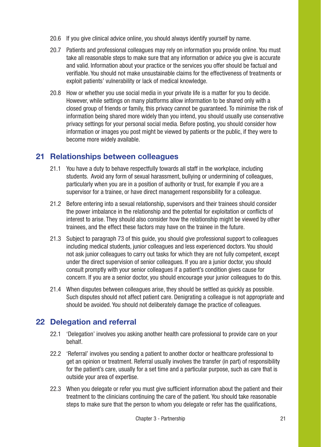- 20.6 If you give clinical advice online, you should always identify yourself by name.
- 20.7 Patients and professional colleagues may rely on information you provide online. You must take all reasonable steps to make sure that any information or advice you give is accurate and valid. Information about your practice or the services you offer should be factual and verifiable. You should not make unsustainable claims for the effectiveness of treatments or exploit patients' vulnerability or lack of medical knowledge.
- 20.8 How or whether you use social media in your private life is a matter for you to decide. However, while settings on many platforms allow information to be shared only with a closed group of friends or family, this privacy cannot be guaranteed. To minimise the risk of information being shared more widely than you intend, you should usually use conservative privacy settings for your personal social media. Before posting, you should consider how information or images you post might be viewed by patients or the public, if they were to become more widely available.

### 21 Relationships between colleagues

- 21.1 You have a duty to behave respectfully towards all staff in the workplace, including students. Avoid any form of sexual harassment, bullying or undermining of colleagues, particularly when you are in a position of authority or trust, for example if you are a supervisor for a trainee, or have direct management responsibility for a colleague.
- 21.2 Before entering into a sexual relationship, supervisors and their trainees should consider the power imbalance in the relationship and the potential for exploitation or conflicts of interest to arise. They should also consider how the relationship might be viewed by other trainees, and the effect these factors may have on the trainee in the future.
- 21.3 Subject to paragraph 73 of this guide, you should give professional support to colleagues including medical students, junior colleagues and less experienced doctors. You should not ask junior colleagues to carry out tasks for which they are not fully competent, except under the direct supervision of senior colleagues. If you are a junior doctor, you should consult promptly with your senior colleagues if a patient's condition gives cause for concern. If you are a senior doctor, you should encourage your junior colleagues to do this.
- 21.4 When disputes between colleagues arise, they should be settled as quickly as possible. Such disputes should not affect patient care. Denigrating a colleague is not appropriate and should be avoided. You should not deliberately damage the practice of colleagues.

### 22 Delegation and referral

- 22.1 'Delegation' involves you asking another health care professional to provide care on your behalf.
- 22.2 'Referral' involves you sending a patient to another doctor or healthcare professional to get an opinion or treatment. Referral usually involves the transfer (in part) of responsibility for the patient's care, usually for a set time and a particular purpose, such as care that is outside your area of expertise.
- 22.3 When you delegate or refer you must give sufficient information about the patient and their treatment to the clinicians continuing the care of the patient. You should take reasonable steps to make sure that the person to whom you delegate or refer has the qualifications,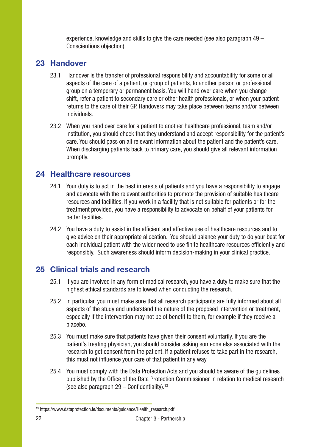experience, knowledge and skills to give the care needed (see also paragraph 49 – Conscientious objection).

### 23 Handover

- 23.1 Handover is the transfer of professional responsibility and accountability for some or all aspects of the care of a patient, or group of patients, to another person or professional group on a temporary or permanent basis. You will hand over care when you change shift, refer a patient to secondary care or other health professionals, or when your patient returns to the care of their GP. Handovers may take place between teams and/or between individuals.
- 23.2 When you hand over care for a patient to another healthcare professional, team and/or institution, you should check that they understand and accept responsibility for the patient's care. You should pass on all relevant information about the patient and the patient's care. When discharging patients back to primary care, you should give all relevant information promptly.

### 24 Healthcare resources

- 24.1 Your duty is to act in the best interests of patients and you have a responsibility to engage and advocate with the relevant authorities to promote the provision of suitable healthcare resources and facilities. If you work in a facility that is not suitable for patients or for the treatment provided, you have a responsibility to advocate on behalf of your patients for better facilities.
- 24.2 You have a duty to assist in the efficient and effective use of healthcare resources and to give advice on their appropriate allocation. You should balance your duty to do your best for each individual patient with the wider need to use finite healthcare resources efficiently and responsibly. Such awareness should inform decision-making in your clinical practice.

### 25 Clinical trials and research

- 25.1 If you are involved in any form of medical research, you have a duty to make sure that the highest ethical standards are followed when conducting the research.
- 25.2 In particular, you must make sure that all research participants are fully informed about all aspects of the study and understand the nature of the proposed intervention or treatment, especially if the intervention may not be of benefit to them, for example if they receive a placebo.
- 25.3 You must make sure that patients have given their consent voluntarily. If you are the patient's treating physician, you should consider asking someone else associated with the research to get consent from the patient. If a patient refuses to take part in the research, this must not influence your care of that patient in any way.
- 25.4 You must comply with the Data Protection Acts and you should be aware of the guidelines published by the Office of the Data Protection Commissioner in relation to medical research (see also paragraph  $29 -$  Confidentiality).<sup>13</sup>

<sup>13</sup> https://www.dataprotection.ie/documents/guidance/Health\_research.pdf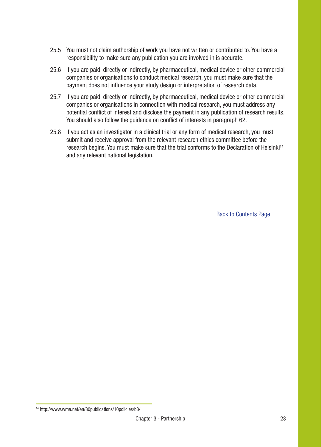- 25.5 You must not claim authorship of work you have not written or contributed to. You have a responsibility to make sure any publication you are involved in is accurate.
- 25.6 If you are paid, directly or indirectly, by pharmaceutical, medical device or other commercial companies or organisations to conduct medical research, you must make sure that the payment does not influence your study design or interpretation of research data.
- 25.7 If you are paid, directly or indirectly, by pharmaceutical, medical device or other commercial companies or organisations in connection with medical research, you must address any potential conflict of interest and disclose the payment in any publication of research results. You should also follow the guidance on conflict of interests in paragraph 62.
- 25.8 If you act as an investigator in a clinical trial or any form of medical research, you must submit and receive approval from the relevant research ethics committee before the research begins. You must make sure that the trial conforms to the Declaration of Helsinki<sup>14</sup> and any relevant national legislation.

Back to Contents Page

<sup>14</sup> http://www.wma.net/en/30publications/10policies/b3/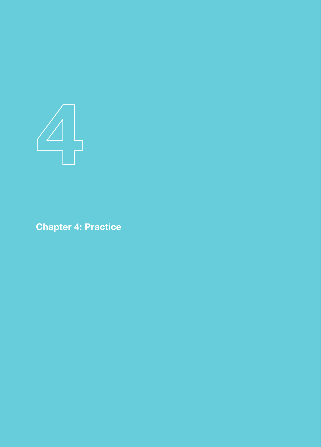

Chapter 4: Practice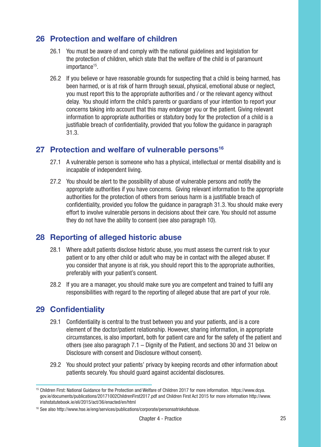### 26 Protection and welfare of children

- 26.1 You must be aware of and comply with the national guidelines and legislation for the protection of children, which state that the welfare of the child is of paramount importance<sup>15</sup>.
- 26.2 If you believe or have reasonable grounds for suspecting that a child is being harmed, has been harmed, or is at risk of harm through sexual, physical, emotional abuse or neglect, you must report this to the appropriate authorities and / or the relevant agency without delay. You should inform the child's parents or guardians of your intention to report your concerns taking into account that this may endanger you or the patient. Giving relevant information to appropriate authorities or statutory body for the protection of a child is a justifiable breach of confidentiality, provided that you follow the guidance in paragraph 31.3.

### 27 Protection and welfare of vulnerable persons<sup>16</sup>

- 27.1 A vulnerable person is someone who has a physical, intellectual or mental disability and is incapable of independent living.
- 27.2 You should be alert to the possibility of abuse of vulnerable persons and notify the appropriate authorities if you have concerns. Giving relevant information to the appropriate authorities for the protection of others from serious harm is a justifiable breach of confidentiality, provided you follow the guidance in paragraph 31.3. You should make every effort to involve vulnerable persons in decisions about their care. You should not assume they do not have the ability to consent (see also paragraph 10).

### 28 Reporting of alleged historic abuse

- 28.1 Where adult patients disclose historic abuse, you must assess the current risk to your patient or to any other child or adult who may be in contact with the alleged abuser. If you consider that anyone is at risk, you should report this to the appropriate authorities, preferably with your patient's consent.
- 28.2 If you are a manager, you should make sure you are competent and trained to fulfil any responsibilities with regard to the reporting of alleged abuse that are part of your role.

### 29 Confidentiality

- 29.1 Confidentiality is central to the trust between you and your patients, and is a core element of the doctor/patient relationship. However, sharing information, in appropriate circumstances, is also important, both for patient care and for the safety of the patient and others (see also paragraph  $7.1 -$  Dignity of the Patient, and sections 30 and 31 below on Disclosure with consent and Disclosure without consent).
- 29.2 You should protect your patients' privacy by keeping records and other information about patients securely. You should guard against accidental disclosures.

<sup>15</sup> Children First: National Guidance for the Protection and Welfare of Children 2017 for more information. https://www.dcya. gov.ie/documents/publications/20171002ChildrenFirst2017.pdf and Children First Act 2015 for more information http://www. irishstatutebook.ie/eli/2015/act/36/enacted/en/html

<sup>16</sup> See also http://www.hse.ie/eng/services/publications/corporate/personsatriskofabuse.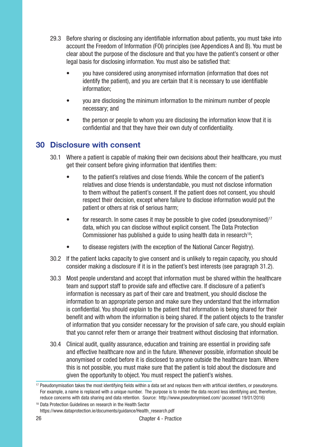- 29.3 Before sharing or disclosing any identifiable information about patients, you must take into account the Freedom of Information (FOI) principles (see Appendices A and B). You must be clear about the purpose of the disclosure and that you have the patient's consent or other legal basis for disclosing information. You must also be satisfied that:
	- you have considered using anonymised information (information that does not identify the patient), and you are certain that it is necessary to use identifiable information;
	- you are disclosing the minimum information to the minimum number of people necessary; and
	- the person or people to whom you are disclosing the information know that it is confidential and that they have their own duty of confidentiality.

### 30 Disclosure with consent

- 30.1 Where a patient is capable of making their own decisions about their healthcare, you must get their consent before giving information that identifies them:
	- to the patient's relatives and close friends. While the concern of the patient's relatives and close friends is understandable, you must not disclose information to them without the patient's consent. If the patient does not consent, you should respect their decision, except where failure to disclose information would put the patient or others at risk of serious harm;
	- for research. In some cases it may be possible to give coded (pseudonymised)<sup>17</sup> data, which you can disclose without explicit consent. The Data Protection Commissioner has published a guide to using health data in research<sup>18</sup>;
	- to disease registers (with the exception of the National Cancer Registry).
- 30.2 If the patient lacks capacity to give consent and is unlikely to regain capacity, you should consider making a disclosure if it is in the patient's best interests (see paragraph 31.2).
- 30.3 Most people understand and accept that information must be shared within the healthcare team and support staff to provide safe and effective care. If disclosure of a patient's information is necessary as part of their care and treatment, you should disclose the information to an appropriate person and make sure they understand that the information is confidential. You should explain to the patient that information is being shared for their benefit and with whom the information is being shared. If the patient objects to the transfer of information that you consider necessary for the provision of safe care, you should explain that you cannot refer them or arrange their treatment without disclosing that information.
- 30.4 Clinical audit, quality assurance, education and training are essential in providing safe and effective healthcare now and in the future. Whenever possible, information should be anonymised or coded before it is disclosed to anyone outside the healthcare team. Where this is not possible, you must make sure that the patient is told about the disclosure and given the opportunity to object. You must respect the patient's wishes.

<sup>17</sup> Pseudonymisation takes the most identifying fields within a data set and replaces them with artificial identifiers, or pseudonyms. For example, a name is replaced with a unique number. The purpose is to render the data record less identifying and, therefore, reduce concerns with data sharing and data retention. Source: http://www.pseudonymised.com/ (accessed 19/01/2016)

<sup>18</sup> Data Protection Guidelines on research in the Health Sector https://www.dataprotection.ie/documents/guidance/Health\_research.pdf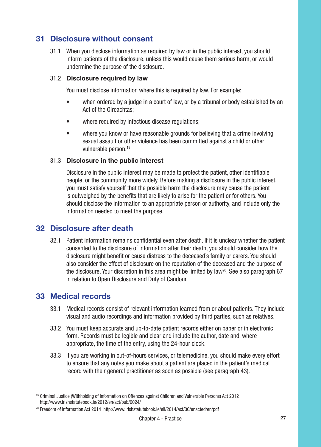### 31 Disclosure without consent

31.1 When you disclose information as required by law or in the public interest, you should inform patients of the disclosure, unless this would cause them serious harm, or would undermine the purpose of the disclosure.

#### 31.2 Disclosure required by law

You must disclose information where this is required by law. For example:

- when ordered by a judge in a court of law, or by a tribunal or body established by an Act of the Oireachtas;
- where required by infectious disease requitations:
- where you know or have reasonable grounds for believing that a crime involving sexual assault or other violence has been committed against a child or other vulnerable person.19

#### 31.3 Disclosure in the public interest

Disclosure in the public interest may be made to protect the patient, other identifiable people, or the community more widely. Before making a disclosure in the public interest, you must satisfy yourself that the possible harm the disclosure may cause the patient is outweighed by the benefits that are likely to arise for the patient or for others. You should disclose the information to an appropriate person or authority, and include only the information needed to meet the purpose.

### 32 Disclosure after death

32.1 Patient information remains confidential even after death. If it is unclear whether the patient consented to the disclosure of information after their death, you should consider how the disclosure might benefit or cause distress to the deceased's family or carers. You should also consider the effect of disclosure on the reputation of the deceased and the purpose of the disclosure. Your discretion in this area might be limited by law<sup>20</sup>. See also paragraph 67 in relation to Open Disclosure and Duty of Candour.

### 33 Medical records

- 33.1 Medical records consist of relevant information learned from or about patients. They include visual and audio recordings and information provided by third parties, such as relatives.
- 33.2 You must keep accurate and up-to-date patient records either on paper or in electronic form. Records must be legible and clear and include the author, date and, where appropriate, the time of the entry, using the 24-hour clock.
- 33.3 If you are working in out-of-hours services, or telemedicine, you should make every effort to ensure that any notes you make about a patient are placed in the patient's medical record with their general practitioner as soon as possible (see paragraph 43).

<sup>19</sup> Criminal Justice (Withholding of Information on Offences against Children and Vulnerable Persons) Act 2012 http://www.irishstatutebook.ie/2012/en/act/pub/0024/

<sup>20</sup> Freedom of Information Act 2014 http://www.irishstatutebook.ie/eli/2014/act/30/enacted/en/pdf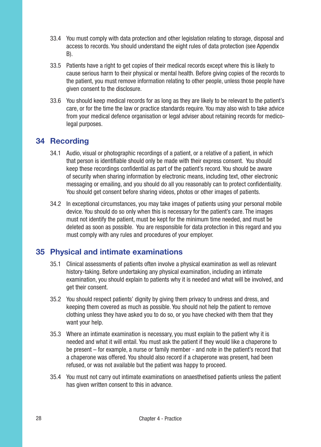- 33.4 You must comply with data protection and other legislation relating to storage, disposal and access to records. You should understand the eight rules of data protection (see Appendix B).
- 33.5 Patients have a right to get copies of their medical records except where this is likely to cause serious harm to their physical or mental health. Before giving copies of the records to the patient, you must remove information relating to other people, unless those people have given consent to the disclosure.
- 33.6 You should keep medical records for as long as they are likely to be relevant to the patient's care, or for the time the law or practice standards require. You may also wish to take advice from your medical defence organisation or legal adviser about retaining records for medicolegal purposes.

### 34 Recording

- 34.1 Audio, visual or photographic recordings of a patient, or a relative of a patient, in which that person is identifiable should only be made with their express consent. You should keep these recordings confidential as part of the patient's record. You should be aware of security when sharing information by electronic means, including text, other electronic messaging or emailing, and you should do all you reasonably can to protect confidentiality. You should get consent before sharing videos, photos or other images of patients.
- 34.2 In exceptional circumstances, you may take images of patients using your personal mobile device. You should do so only when this is necessary for the patient's care. The images must not identify the patient, must be kept for the minimum time needed, and must be deleted as soon as possible. You are responsible for data protection in this regard and you must comply with any rules and procedures of your employer.

### 35 Physical and intimate examinations

- 35.1 Clinical assessments of patients often involve a physical examination as well as relevant history-taking. Before undertaking any physical examination, including an intimate examination, you should explain to patients why it is needed and what will be involved, and get their consent.
- 35.2 You should respect patients' dignity by giving them privacy to undress and dress, and keeping them covered as much as possible. You should not help the patient to remove clothing unless they have asked you to do so, or you have checked with them that they want your help.
- 35.3 Where an intimate examination is necessary, you must explain to the patient why it is needed and what it will entail. You must ask the patient if they would like a chaperone to be present – for example, a nurse or family member - and note in the patient's record that a chaperone was offered. You should also record if a chaperone was present, had been refused, or was not available but the patient was happy to proceed.
- 35.4 You must not carry out intimate examinations on anaesthetised patients unless the patient has given written consent to this in advance.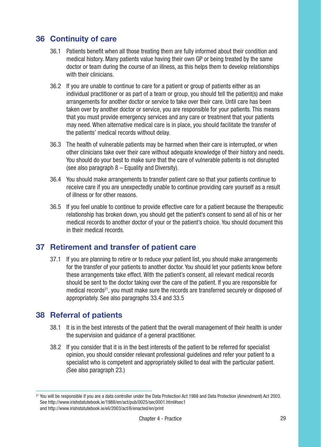### 36 Continuity of care

- 36.1 Patients benefit when all those treating them are fully informed about their condition and medical history. Many patients value having their own GP or being treated by the same doctor or team during the course of an illness, as this helps them to develop relationships with their clinicians.
- 36.2 If you are unable to continue to care for a patient or group of patients either as an individual practitioner or as part of a team or group, you should tell the patient(s) and make arrangements for another doctor or service to take over their care. Until care has been taken over by another doctor or service, you are responsible for your patients. This means that you must provide emergency services and any care or treatment that your patients may need. When alternative medical care is in place, you should facilitate the transfer of the patients' medical records without delay.
- 36.3 The health of vulnerable patients may be harmed when their care is interrupted, or when other clinicians take over their care without adequate knowledge of their history and needs. You should do your best to make sure that the care of vulnerable patients is not disrupted (see also paragraph 8 – Equality and Diversity).
- 36.4 You should make arrangements to transfer patient care so that your patients continue to receive care if you are unexpectedly unable to continue providing care yourself as a result of illness or for other reasons.
- 36.5 If you feel unable to continue to provide effective care for a patient because the therapeutic relationship has broken down, you should get the patient's consent to send all of his or her medical records to another doctor of your or the patient's choice. You should document this in their medical records.

### 37 Retirement and transfer of patient care

37.1 If you are planning to retire or to reduce your patient list, you should make arrangements for the transfer of your patients to another doctor. You should let your patients know before these arrangements take effect. With the patient's consent, all relevant medical records should be sent to the doctor taking over the care of the patient. If you are responsible for medical records<sup>21</sup>, you must make sure the records are transferred securely or disposed of appropriately. See also paragraphs 33.4 and 33.5

### 38 Referral of patients

- 38.1 It is in the best interests of the patient that the overall management of their health is under the supervision and guidance of a general practitioner.
- 38.2 If you consider that it is in the best interests of the patient to be referred for specialist opinion, you should consider relevant professional guidelines and refer your patient to a specialist who is competent and appropriately skilled to deal with the particular patient. (See also paragraph 23.)

<sup>21</sup> You will be responsible if you are a data controller under the Data Protection Act 1988 and Data Protection (Amendment) Act 2003. See http://www.irishstatutebook.ie/1988/en/act/pub/0025/sec0001.html#sec1 and http://www.irishstatutebook.ie/eli/2003/act/6/enacted/en/print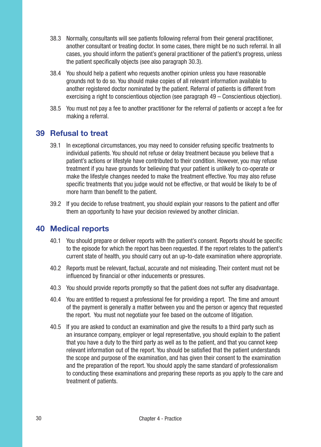- 38.3 Normally, consultants will see patients following referral from their general practitioner, another consultant or treating doctor. In some cases, there might be no such referral. In all cases, you should inform the patient's general practitioner of the patient's progress, unless the patient specifically objects (see also paragraph 30.3).
- 38.4 You should help a patient who requests another opinion unless you have reasonable grounds not to do so. You should make copies of all relevant information available to another registered doctor nominated by the patient. Referral of patients is different from exercising a right to conscientious objection (see paragraph 49 – Conscientious objection).
- 38.5 You must not pay a fee to another practitioner for the referral of patients or accept a fee for making a referral.

### 39 Refusal to treat

- 39.1 In exceptional circumstances, you may need to consider refusing specific treatments to individual patients. You should not refuse or delay treatment because you believe that a patient's actions or lifestyle have contributed to their condition. However, you may refuse treatment if you have grounds for believing that your patient is unlikely to co-operate or make the lifestyle changes needed to make the treatment effective. You may also refuse specific treatments that you judge would not be effective, or that would be likely to be of more harm than benefit to the patient.
- 39.2 If you decide to refuse treatment, you should explain your reasons to the patient and offer them an opportunity to have your decision reviewed by another clinician.

### 40 Medical reports

- 40.1 You should prepare or deliver reports with the patient's consent. Reports should be specific to the episode for which the report has been requested. If the report relates to the patient's current state of health, you should carry out an up-to-date examination where appropriate.
- 40.2 Reports must be relevant, factual, accurate and not misleading. Their content must not be influenced by financial or other inducements or pressures.
- 40.3 You should provide reports promptly so that the patient does not suffer any disadvantage.
- 40.4 You are entitled to request a professional fee for providing a report. The time and amount of the payment is generally a matter between you and the person or agency that requested the report. You must not negotiate your fee based on the outcome of litigation.
- 40.5 If you are asked to conduct an examination and give the results to a third party such as an insurance company, employer or legal representative, you should explain to the patient that you have a duty to the third party as well as to the patient, and that you cannot keep relevant information out of the report. You should be satisfied that the patient understands the scope and purpose of the examination, and has given their consent to the examination and the preparation of the report. You should apply the same standard of professionalism to conducting these examinations and preparing these reports as you apply to the care and treatment of patients.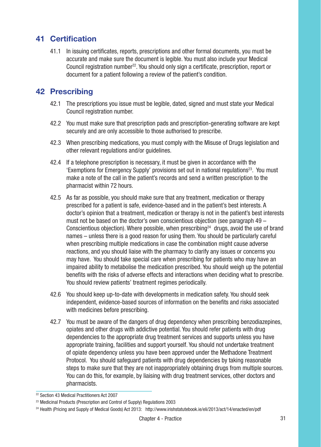### 41 Certification

41.1 In issuing certificates, reports, prescriptions and other formal documents, you must be accurate and make sure the document is legible. You must also include your Medical Council registration number<sup>22</sup>. You should only sign a certificate, prescription, report or document for a patient following a review of the patient's condition.

### 42 Prescribing

- 42.1 The prescriptions you issue must be legible, dated, signed and must state your Medical Council registration number.
- 42.2 You must make sure that prescription pads and prescription-generating software are kept securely and are only accessible to those authorised to prescribe.
- 42.3 When prescribing medications, you must comply with the Misuse of Drugs legislation and other relevant regulations and/or guidelines.
- 42.4 If a telephone prescription is necessary, it must be given in accordance with the 'Exemptions for Emergency Supply' provisions set out in national regulations<sup>23</sup>. You must make a note of the call in the patient's records and send a written prescription to the pharmacist within 72 hours.
- 42.5 As far as possible, you should make sure that any treatment, medication or therapy prescribed for a patient is safe, evidence-based and in the patient's best interests. A doctor's opinion that a treatment, medication or therapy is not in the patient's best interests must not be based on the doctor's own conscientious objection (see paragraph 49 – Conscientious objection). Where possible, when prescribing<sup>24</sup> drugs, avoid the use of brand names – unless there is a good reason for using them. You should be particularly careful when prescribing multiple medications in case the combination might cause adverse reactions, and you should liaise with the pharmacy to clarify any issues or concerns you may have. You should take special care when prescribing for patients who may have an impaired ability to metabolise the medication prescribed. You should weigh up the potential benefits with the risks of adverse effects and interactions when deciding what to prescribe. You should review patients' treatment regimes periodically.
- 42.6 You should keep up-to-date with developments in medication safety. You should seek independent, evidence-based sources of information on the benefits and risks associated with medicines before prescribing.
- 42.7 You must be aware of the dangers of drug dependency when prescribing benzodiazepines, opiates and other drugs with addictive potential. You should refer patients with drug dependencies to the appropriate drug treatment services and supports unless you have appropriate training, facilities and support yourself. You should not undertake treatment of opiate dependency unless you have been approved under the Methadone Treatment Protocol. You should safeguard patients with drug dependencies by taking reasonable steps to make sure that they are not inappropriately obtaining drugs from multiple sources. You can do this, for example, by liaising with drug treatment services, other doctors and pharmacists.

<sup>22</sup> Section 43 Medical Practitioners Act 2007

<sup>&</sup>lt;sup>23</sup> Medicinal Products (Prescription and Control of Supply) Regulations 2003

<sup>24</sup> Health (Pricing and Supply of Medical Goods) Act 2013: http://www.irishstatutebook.ie/eli/2013/act/14/enacted/en/pdf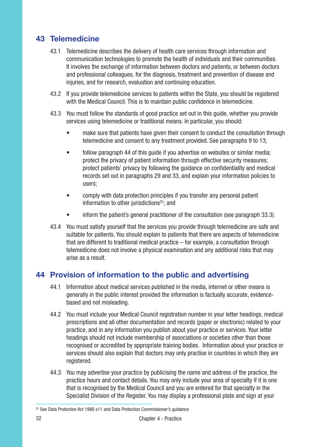### 43 Telemedicine

- 43.1 Telemedicine describes the delivery of health care services through information and communication technologies to promote the health of individuals and their communities. It involves the exchange of information between doctors and patients, or between doctors and professional colleagues, for the diagnosis, treatment and prevention of disease and injuries, and for research, evaluation and continuing education.
- 43.2 If you provide telemedicine services to patients within the State, you should be registered with the Medical Council. This is to maintain public confidence in telemedicine.
- 43.3 You must follow the standards of good practice set out in this guide, whether you provide services using telemedicine or traditional means. In particular, you should:
	- make sure that patients have given their consent to conduct the consultation through telemedicine and consent to any treatment provided. See paragraphs 9 to 13;
	- follow paragraph 44 of this guide if you advertise on websites or similar media; protect the privacy of patient information through effective security measures; protect patients' privacy by following the guidance on confidentiality and medical records set out in paragraphs 29 and 33, and explain your information policies to users;
	- comply with data protection principles if you transfer any personal patient information to other jurisdictions<sup>25</sup>; and
	- inform the patient's general practitioner of the consultation (see paragraph 33.3).
- 43.4 You must satisfy yourself that the services you provide through telemedicine are safe and suitable for patients. You should explain to patients that there are aspects of telemedicine that are different to traditional medical practice – for example, a consultation through telemedicine does not involve a physical examination and any additional risks that may arise as a result.

### 44 Provision of information to the public and advertising

- 44.1 Information about medical services published in the media, internet or other means is generally in the public interest provided the information is factually accurate, evidencebased and not misleading.
- 44.2 You must include your Medical Council registration number in your letter headings, medical prescriptions and all other documentation and records (paper or electronic) related to your practice, and in any information you publish about your practice or services. Your letter headings should not include membership of associations or societies other than those recognised or accredited by appropriate training bodies. Information about your practice or services should also explain that doctors may only practise in countries in which they are registered.
- 44.3 You may advertise your practice by publicising the name and address of the practice, the practice hours and contact details. You may only include your area of specialty if it is one that is recognised by the Medical Council and you are entered for that specialty in the Specialist Division of the Register. You may display a professional plate and sign at your

<sup>&</sup>lt;sup>25</sup> See Data Protection Act 1988 s11 and Data Protection Commissioner's quidance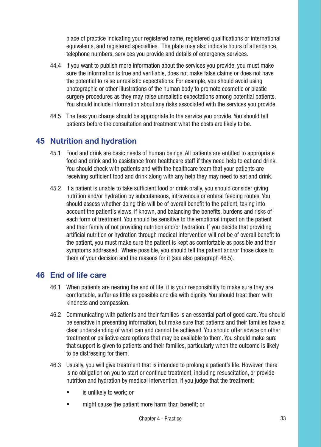place of practice indicating your registered name, registered qualifications or international equivalents, and registered specialties. The plate may also indicate hours of attendance, telephone numbers, services you provide and details of emergency services.

- 44.4 If you want to publish more information about the services you provide, you must make sure the information is true and verifiable, does not make false claims or does not have the potential to raise unrealistic expectations. For example, you should avoid using photographic or other illustrations of the human body to promote cosmetic or plastic surgery procedures as they may raise unrealistic expectations among potential patients. You should include information about any risks associated with the services you provide.
- 44.5 The fees you charge should be appropriate to the service you provide. You should tell patients before the consultation and treatment what the costs are likely to be.

### 45 Nutrition and hydration

- 45.1 Food and drink are basic needs of human beings. All patients are entitled to appropriate food and drink and to assistance from healthcare staff if they need help to eat and drink. You should check with patients and with the healthcare team that your patients are receiving sufficient food and drink along with any help they may need to eat and drink.
- 45.2 If a patient is unable to take sufficient food or drink orally, you should consider giving nutrition and/or hydration by subcutaneous, intravenous or enteral feeding routes. You should assess whether doing this will be of overall benefit to the patient, taking into account the patient's views, if known, and balancing the benefits, burdens and risks of each form of treatment. You should be sensitive to the emotional impact on the patient and their family of not providing nutrition and/or hydration. If you decide that providing artificial nutrition or hydration through medical intervention will not be of overall benefit to the patient, you must make sure the patient is kept as comfortable as possible and their symptoms addressed. Where possible, you should tell the patient and/or those close to them of your decision and the reasons for it (see also paragraph 46.5).

### 46 End of life care

- 46.1 When patients are nearing the end of life, it is your responsibility to make sure they are comfortable, suffer as little as possible and die with dignity. You should treat them with kindness and compassion.
- 46.2 Communicating with patients and their families is an essential part of good care. You should be sensitive in presenting information, but make sure that patients and their families have a clear understanding of what can and cannot be achieved. You should offer advice on other treatment or palliative care options that may be available to them. You should make sure that support is given to patients and their families, particularly when the outcome is likely to be distressing for them.
- 46.3 Usually, you will give treatment that is intended to prolong a patient's life. However, there is no obligation on you to start or continue treatment, including resuscitation, or provide nutrition and hydration by medical intervention, if you judge that the treatment:
	- is unlikely to work; or
	- might cause the patient more harm than benefit; or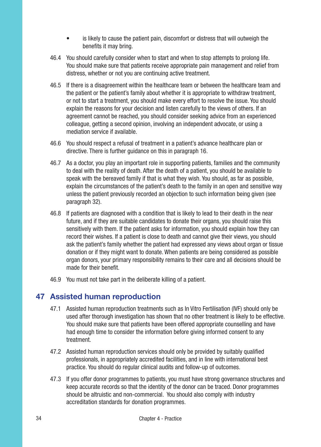- is likely to cause the patient pain, discomfort or distress that will outweigh the benefits it may bring.
- 46.4 You should carefully consider when to start and when to stop attempts to prolong life. You should make sure that patients receive appropriate pain management and relief from distress, whether or not you are continuing active treatment.
- 46.5 If there is a disagreement within the healthcare team or between the healthcare team and the patient or the patient's family about whether it is appropriate to withdraw treatment, or not to start a treatment, you should make every effort to resolve the issue. You should explain the reasons for your decision and listen carefully to the views of others. If an agreement cannot be reached, you should consider seeking advice from an experienced colleague, getting a second opinion, involving an independent advocate, or using a mediation service if available.
- 46.6 You should respect a refusal of treatment in a patient's advance healthcare plan or directive. There is further guidance on this in paragraph 16.
- 46.7 As a doctor, you play an important role in supporting patients, families and the community to deal with the reality of death. After the death of a patient, you should be available to speak with the bereaved family if that is what they wish. You should, as far as possible, explain the circumstances of the patient's death to the family in an open and sensitive way unless the patient previously recorded an objection to such information being given (see paragraph 32).
- 46.8 If patients are diagnosed with a condition that is likely to lead to their death in the near future, and if they are suitable candidates to donate their organs, you should raise this sensitively with them. If the patient asks for information, you should explain how they can record their wishes. If a patient is close to death and cannot give their views, you should ask the patient's family whether the patient had expressed any views about organ or tissue donation or if they might want to donate. When patients are being considered as possible organ donors, your primary responsibility remains to their care and all decisions should be made for their benefit.
- 46.9 You must not take part in the deliberate killing of a patient.

#### 47 Assisted human reproduction

- 47.1 Assisted human reproduction treatments such as In Vitro Fertilisation (IVF) should only be used after thorough investigation has shown that no other treatment is likely to be effective. You should make sure that patients have been offered appropriate counselling and have had enough time to consider the information before giving informed consent to any treatment.
- 47.2 Assisted human reproduction services should only be provided by suitably qualified professionals, in appropriately accredited facilities, and in line with international best practice. You should do regular clinical audits and follow-up of outcomes.
- 47.3 If you offer donor programmes to patients, you must have strong governance structures and keep accurate records so that the identity of the donor can be traced. Donor programmes should be altruistic and non-commercial. You should also comply with industry accreditation standards for donation programmes.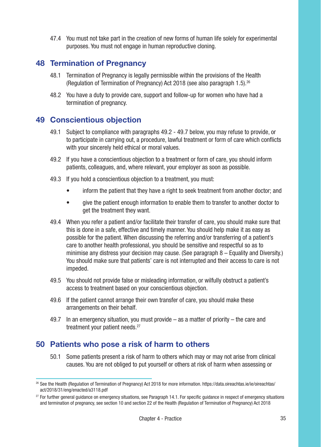47.4 You must not take part in the creation of new forms of human life solely for experimental purposes. You must not engage in human reproductive cloning.

### 48 Termination of Pregnancy

- 48.1 Termination of Pregnancy is legally permissible within the provisions of the Health (Regulation of Termination of Pregnancy) Act 2018 (see also paragraph 1.5).26
- 48.2 You have a duty to provide care, support and follow-up for women who have had a termination of pregnancy.

### 49 Conscientious objection

- 49.1 Subject to compliance with paragraphs 49.2 49.7 below, you may refuse to provide, or to participate in carrying out, a procedure, lawful treatment or form of care which conflicts with your sincerely held ethical or moral values.
- 49.2 If you have a conscientious objection to a treatment or form of care, you should inform patients, colleagues, and, where relevant, your employer as soon as possible.
- 49.3 If you hold a conscientious objection to a treatment, you must:
	- inform the patient that they have a right to seek treatment from another doctor; and
	- give the patient enough information to enable them to transfer to another doctor to get the treatment they want.
- 49.4 When you refer a patient and/or facilitate their transfer of care, you should make sure that this is done in a safe, effective and timely manner. You should help make it as easy as possible for the patient. When discussing the referring and/or transferring of a patient's care to another health professional, you should be sensitive and respectful so as to minimise any distress your decision may cause. (See paragraph 8 – Equality and Diversity.) You should make sure that patients' care is not interrupted and their access to care is not impeded.
- 49.5 You should not provide false or misleading information, or wilfully obstruct a patient's access to treatment based on your conscientious objection.
- 49.6 If the patient cannot arrange their own transfer of care, you should make these arrangements on their behalf.
- 49.7 In an emergency situation, you must provide as a matter of priority the care and treatment your patient needs.<sup>27</sup>

### 50 Patients who pose a risk of harm to others

50.1 Some patients present a risk of harm to others which may or may not arise from clinical causes. You are not obliged to put yourself or others at risk of harm when assessing or

<sup>&</sup>lt;sup>26</sup> See the Health (Regulation of Termination of Pregnancy) Act 2018 for more information. https://data.oireachtas.ie/ie/oireachtas/ act/2018/31/eng/enacted/a3118.pdf

 $27$  For further general quidance on emergency situations, see Paragraph 14.1. For specific quidance in respect of emergency situations and termination of pregnancy, see section 10 and section 22 of the Health (Regulation of Termination of Pregnancy) Act 2018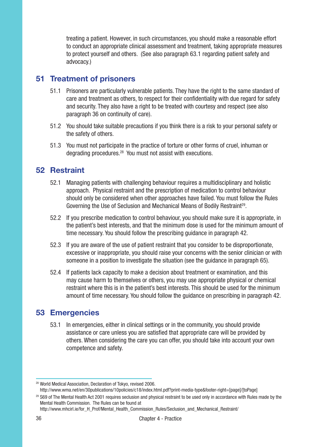treating a patient. However, in such circumstances, you should make a reasonable effort to conduct an appropriate clinical assessment and treatment, taking appropriate measures to protect yourself and others. (See also paragraph 63.1 regarding patient safety and advocacy.)

### 51 Treatment of prisoners

- 51.1 Prisoners are particularly vulnerable patients. They have the right to the same standard of care and treatment as others, to respect for their confidentiality with due regard for safety and security. They also have a right to be treated with courtesy and respect (see also paragraph 36 on continuity of care).
- 51.2 You should take suitable precautions if you think there is a risk to your personal safety or the safety of others.
- 51.3 You must not participate in the practice of torture or other forms of cruel, inhuman or degrading procedures.28 You must not assist with executions.

### 52 Restraint

- 52.1 Managing patients with challenging behaviour requires a multidisciplinary and holistic approach. Physical restraint and the prescription of medication to control behaviour should only be considered when other approaches have failed. You must follow the Rules Governing the Use of Seclusion and Mechanical Means of Bodily Restraint<sup>29</sup>.
- 52.2 If you prescribe medication to control behaviour, you should make sure it is appropriate, in the patient's best interests, and that the minimum dose is used for the minimum amount of time necessary. You should follow the prescribing guidance in paragraph 42.
- 52.3 If you are aware of the use of patient restraint that you consider to be disproportionate, excessive or inappropriate, you should raise your concerns with the senior clinician or with someone in a position to investigate the situation (see the guidance in paragraph 65).
- 52.4 If patients lack capacity to make a decision about treatment or examination, and this may cause harm to themselves or others, you may use appropriate physical or chemical restraint where this is in the patient's best interests. This should be used for the minimum amount of time necessary. You should follow the guidance on prescribing in paragraph 42.

### 53 Emergencies

53.1 In emergencies, either in clinical settings or in the community, you should provide assistance or care unless you are satisfied that appropriate care will be provided by others. When considering the care you can offer, you should take into account your own competence and safety.

http://www.mhcirl.ie/for\_H\_Prof/Mental\_Health\_Commission\_Rules/Seclusion\_and\_Mechanical\_Restraint/

<sup>28</sup> World Medical Association, Declaration of Tokyo, revised 2006.

http://www.wma.net/en/30publications/10policies/c18/index.html.pdf?print-media-type&footer-right=[page]/[toPage] <sup>29</sup> S69 of The Mental Health Act 2001 requires seclusion and physical restraint to be used only in accordance with Rules made by the Mental Health Commission. The Rules can be found at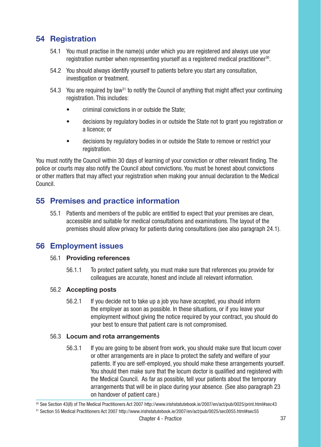### 54 Registration

- 54.1 You must practise in the name(s) under which you are registered and always use your registration number when representing yourself as a registered medical practitioner<sup>30</sup>.
- 54.2 You should always identify yourself to patients before you start any consultation, investigation or treatment.
- 54.3 You are required by law<sup>31</sup> to notify the Council of anything that might affect your continuing registration. This includes:
	- criminal convictions in or outside the State;
	- decisions by regulatory bodies in or outside the State not to grant you registration or a licence; or
	- decisions by regulatory bodies in or outside the State to remove or restrict your registration.

You must notify the Council within 30 days of learning of your conviction or other relevant finding. The police or courts may also notify the Council about convictions. You must be honest about convictions or other matters that may affect your registration when making your annual declaration to the Medical Council.

### 55 Premises and practice information

55.1 Patients and members of the public are entitled to expect that your premises are clean, accessible and suitable for medical consultations and examinations. The layout of the premises should allow privacy for patients during consultations (see also paragraph 24.1).

### 56 Employment issues

#### 56.1 Providing references

56.1.1 To protect patient safety, you must make sure that references you provide for colleagues are accurate, honest and include all relevant information.

#### 56.2 Accepting posts

56.2.1 If you decide not to take up a job you have accepted, you should inform the employer as soon as possible. In these situations, or if you leave your employment without giving the notice required by your contract, you should do your best to ensure that patient care is not compromised.

#### 56.3 Locum and rota arrangements

56.3.1 If you are going to be absent from work, you should make sure that locum cover or other arrangements are in place to protect the safety and welfare of your patients. If you are self-employed, you should make these arrangements yourself. You should then make sure that the locum doctor is qualified and registered with the Medical Council. As far as possible, tell your patients about the temporary arrangements that will be in place during your absence. (See also paragraph 23 on handover of patient care.)

<sup>30</sup> See Section 43(8) of The Medical Practitioners Act 2007 http://www.irishstatutebook.ie/2007/en/act/pub/0025/print.html#sec43

<sup>31</sup> Section 55 Medical Practitioners Act 2007 http://www.irishstatutebook.ie/2007/en/act/pub/0025/sec0055.html#sec55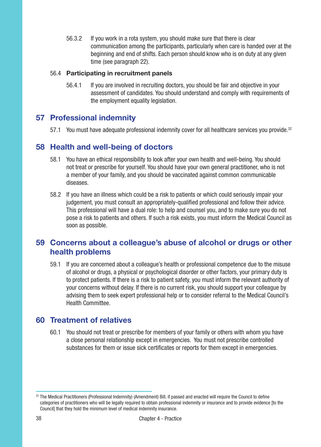56.3.2 If you work in a rota system, you should make sure that there is clear communication among the participants, particularly when care is handed over at the beginning and end of shifts. Each person should know who is on duty at any given time (see paragraph 22).

#### 56.4 Participating in recruitment panels

56.4.1 If you are involved in recruiting doctors, you should be fair and objective in your assessment of candidates. You should understand and comply with requirements of the employment equality legislation.

### 57 Professional indemnity

57.1 You must have adequate professional indemnity cover for all healthcare services you provide.<sup>32</sup>

### 58 Health and well-being of doctors

- 58.1 You have an ethical responsibility to look after your own health and well-being. You should not treat or prescribe for yourself. You should have your own general practitioner, who is not a member of your family, and you should be vaccinated against common communicable diseases.
- 58.2 If you have an illness which could be a risk to patients or which could seriously impair your judgement, you must consult an appropriately-qualified professional and follow their advice. This professional will have a dual role: to help and counsel you, and to make sure you do not pose a risk to patients and others. If such a risk exists, you must inform the Medical Council as soon as possible.

### 59 Concerns about a colleague's abuse of alcohol or drugs or other health problems

59.1 If you are concerned about a colleague's health or professional competence due to the misuse of alcohol or drugs, a physical or psychological disorder or other factors, your primary duty is to protect patients. If there is a risk to patient safety, you must inform the relevant authority of your concerns without delay. If there is no current risk, you should support your colleague by advising them to seek expert professional help or to consider referral to the Medical Council's Health Committee.

### 60 Treatment of relatives

60.1 You should not treat or prescribe for members of your family or others with whom you have a close personal relationship except in emergencies. You must not prescribe controlled substances for them or issue sick certificates or reports for them except in emergencies.

<sup>32</sup> The Medical Practitioners (Professional Indemnity) (Amendment) Bill, if passed and enacted will require the Council to define categories of practitioners who will be legally required to obtain professional indemnity or insurance and to provide evidence [to the Council] that they hold the minimum level of medical indemnity insurance.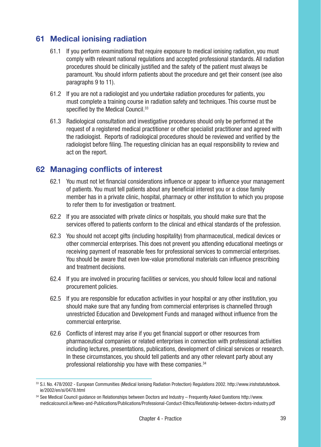### 61 Medical ionising radiation

- 61.1 If you perform examinations that require exposure to medical ionising radiation, you must comply with relevant national regulations and accepted professional standards. All radiation procedures should be clinically justified and the safety of the patient must always be paramount. You should inform patients about the procedure and get their consent (see also paragraphs 9 to 11).
- 61.2 If you are not a radiologist and you undertake radiation procedures for patients, you must complete a training course in radiation safety and techniques. This course must be specified by the Medical Council.<sup>33</sup>
- 61.3 Radiological consultation and investigative procedures should only be performed at the request of a registered medical practitioner or other specialist practitioner and agreed with the radiologist. Reports of radiological procedures should be reviewed and verified by the radiologist before filing. The requesting clinician has an equal responsibility to review and act on the report.

### 62 Managing conflicts of interest

- 62.1 You must not let financial considerations influence or appear to influence your management of patients. You must tell patients about any beneficial interest you or a close family member has in a private clinic, hospital, pharmacy or other institution to which you propose to refer them to for investigation or treatment.
- 62.2 If you are associated with private clinics or hospitals, you should make sure that the services offered to patients conform to the clinical and ethical standards of the profession.
- 62.3 You should not accept gifts (including hospitality) from pharmaceutical, medical devices or other commercial enterprises. This does not prevent you attending educational meetings or receiving payment of reasonable fees for professional services to commercial enterprises. You should be aware that even low-value promotional materials can influence prescribing and treatment decisions.
- 62.4 If you are involved in procuring facilities or services, you should follow local and national procurement policies.
- 62.5 If you are responsible for education activities in your hospital or any other institution, you should make sure that any funding from commercial enterprises is channelled through unrestricted Education and Development Funds and managed without influence from the commercial enterprise.
- 62.6 Conflicts of interest may arise if you get financial support or other resources from pharmaceutical companies or related enterprises in connection with professional activities including lectures, presentations, publications, development of clinical services or research. In these circumstances, you should tell patients and any other relevant party about any professional relationship you have with these companies.<sup>34</sup>

<sup>33</sup> S.I. No. 478/2002 - European Communities (Medical Ionising Radiation Protection) Regulations 2002. http://www.irishstatutebook. ie/2002/en/si/0478.html

<sup>34</sup> See Medical Council guidance on Relationships between Doctors and Industry – Frequently Asked Questions http://www. medicalcouncil.ie/News-and-Publications/Publications/Professional-Conduct-Ethics/Relationship-between-doctors-industry.pdf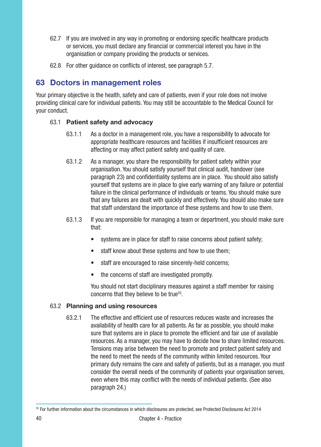- 62.7 If you are involved in any way in promoting or endorsing specific healthcare products or services, you must declare any financial or commercial interest you have in the organisation or company providing the products or services.
- 62.8 For other guidance on conflicts of interest, see paragraph 5.7.

### 63 Doctors in management roles

Your primary objective is the health, safety and care of patients, even if your role does not involve providing clinical care for individual patients. You may still be accountable to the Medical Council for your conduct.

#### 63.1 Patient safety and advocacy

- 63.1.1 As a doctor in a management role, you have a responsibility to advocate for appropriate healthcare resources and facilities if insufficient resources are affecting or may affect patient safety and quality of care.
- 63.1.2 As a manager, you share the responsibility for patient safety within your organisation. You should satisfy yourself that clinical audit, handover (see paragraph 23) and confidentiality systems are in place. You should also satisfy yourself that systems are in place to give early warning of any failure or potential failure in the clinical performance of individuals or teams. You should make sure that any failures are dealt with quickly and effectively. You should also make sure that staff understand the importance of these systems and how to use them.
- 63.1.3 If you are responsible for managing a team or department, you should make sure that:
	- systems are in place for staff to raise concerns about patient safety;
	- staff know about these systems and how to use them;
	- staff are encouraged to raise sincerely-held concerns;
	- the concerns of staff are investigated promptly.

You should not start disciplinary measures against a staff member for raising concerns that they believe to be true35.

#### 63.2 Planning and using resources

63.2.1 The effective and efficient use of resources reduces waste and increases the availability of health care for all patients. As far as possible, you should make sure that systems are in place to promote the efficient and fair use of available resources. As a manager, you may have to decide how to share limited resources. Tensions may arise between the need to promote and protect patient safety and the need to meet the needs of the community within limited resources. Your primary duty remains the care and safety of patients, but as a manager, you must consider the overall needs of the community of patients your organisation serves, even where this may conflict with the needs of individual patients. (See also paragraph 24.)

<sup>&</sup>lt;sup>35</sup> For further information about the circumstances in which disclosures are protected, see Protected Disclosures Act 2014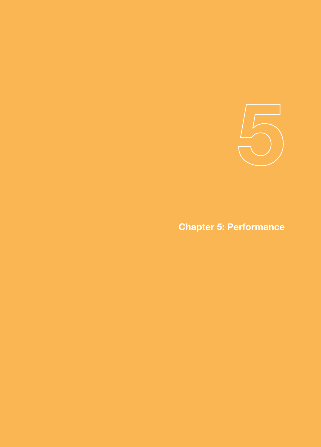

## Chapter 5: Performance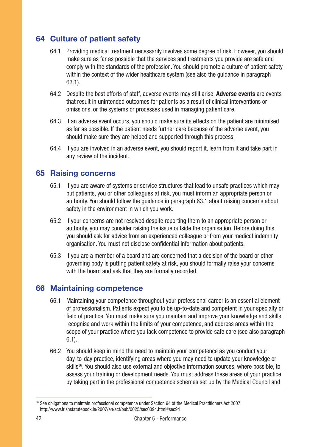### 64 Culture of patient safety

- 64.1 Providing medical treatment necessarily involves some degree of risk. However, you should make sure as far as possible that the services and treatments you provide are safe and comply with the standards of the profession. You should promote a culture of patient safety within the context of the wider healthcare system (see also the guidance in paragraph 63.1).
- 64.2 Despite the best efforts of staff, adverse events may still arise. Adverse events are events that result in unintended outcomes for patients as a result of clinical interventions or omissions, or the systems or processes used in managing patient care.
- 64.3 If an adverse event occurs, you should make sure its effects on the patient are minimised as far as possible. If the patient needs further care because of the adverse event, you should make sure they are helped and supported through this process.
- 64.4 If you are involved in an adverse event, you should report it, learn from it and take part in any review of the incident.

### 65 Raising concerns

- 65.1 If you are aware of systems or service structures that lead to unsafe practices which may put patients, you or other colleagues at risk, you must inform an appropriate person or authority. You should follow the guidance in paragraph 63.1 about raising concerns about safety in the environment in which you work.
- 65.2 If your concerns are not resolved despite reporting them to an appropriate person or authority, you may consider raising the issue outside the organisation. Before doing this, you should ask for advice from an experienced colleague or from your medical indemnity organisation. You must not disclose confidential information about patients.
- 65.3 If you are a member of a board and are concerned that a decision of the board or other governing body is putting patient safety at risk, you should formally raise your concerns with the board and ask that they are formally recorded.

### 66 Maintaining competence

- 66.1 Maintaining your competence throughout your professional career is an essential element of professionalism. Patients expect you to be up-to-date and competent in your specialty or field of practice. You must make sure you maintain and improve your knowledge and skills, recognise and work within the limits of your competence, and address areas within the scope of your practice where you lack competence to provide safe care (see also paragraph 6.1).
- 66.2 You should keep in mind the need to maintain your competence as you conduct your day-to-day practice, identifying areas where you may need to update your knowledge or skills<sup>36</sup>. You should also use external and objective information sources, where possible, to assess your training or development needs. You must address these areas of your practice by taking part in the professional competence schemes set up by the Medical Council and

<sup>36</sup> See obligations to maintain professional competence under Section 94 of the Medical Practitioners Act 2007 http://www.irishstatutebook.ie/2007/en/act/pub/0025/sec0094.html#sec94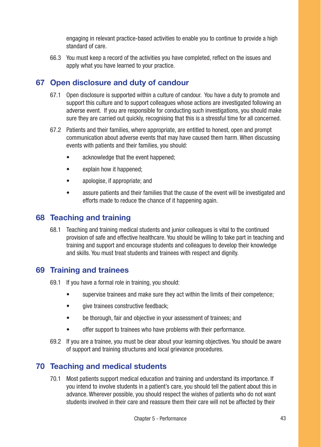engaging in relevant practice-based activities to enable you to continue to provide a high standard of care.

66.3 You must keep a record of the activities you have completed, reflect on the issues and apply what you have learned to your practice.

### 67 Open disclosure and duty of candour

- 67.1 Open disclosure is supported within a culture of candour. You have a duty to promote and support this culture and to support colleagues whose actions are investigated following an adverse event. If you are responsible for conducting such investigations, you should make sure they are carried out quickly, recognising that this is a stressful time for all concerned.
- 67.2 Patients and their families, where appropriate, are entitled to honest, open and prompt communication about adverse events that may have caused them harm. When discussing events with patients and their families, you should:
	- acknowledge that the event happened;
	- explain how it happened;
	- apologise, if appropriate; and
	- assure patients and their families that the cause of the event will be investigated and efforts made to reduce the chance of it happening again.

### 68 Teaching and training

68.1 Teaching and training medical students and junior colleagues is vital to the continued provision of safe and effective healthcare. You should be willing to take part in teaching and training and support and encourage students and colleagues to develop their knowledge and skills. You must treat students and trainees with respect and dignity.

#### 69 Training and trainees

- 69.1 If you have a formal role in training, you should:
	- supervise trainees and make sure they act within the limits of their competence;
	- aive trainees constructive feedback:
	- be thorough, fair and objective in your assessment of trainees; and
	- offer support to trainees who have problems with their performance.
- 69.2 If you are a trainee, you must be clear about your learning objectives. You should be aware of support and training structures and local grievance procedures.

### 70 Teaching and medical students

70.1 Most patients support medical education and training and understand its importance. If you intend to involve students in a patient's care, you should tell the patient about this in advance. Wherever possible, you should respect the wishes of patients who do not want students involved in their care and reassure them their care will not be affected by their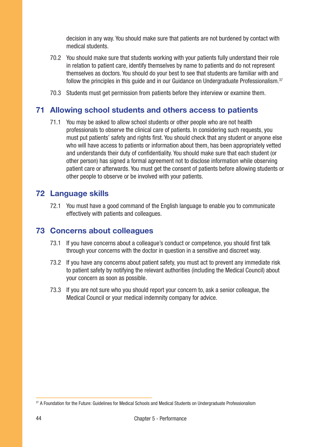decision in any way. You should make sure that patients are not burdened by contact with medical students.

- 70.2 You should make sure that students working with your patients fully understand their role in relation to patient care, identify themselves by name to patients and do not represent themselves as doctors. You should do your best to see that students are familiar with and follow the principles in this quide and in our Guidance on Undergraduate Professionalism. $37$
- 70.3 Students must get permission from patients before they interview or examine them.

### 71 Allowing school students and others access to patients

71.1 You may be asked to allow school students or other people who are not health professionals to observe the clinical care of patients. In considering such requests, you must put patients' safety and rights first. You should check that any student or anyone else who will have access to patients or information about them, has been appropriately vetted and understands their duty of confidentiality. You should make sure that each student (or other person) has signed a formal agreement not to disclose information while observing patient care or afterwards. You must get the consent of patients before allowing students or other people to observe or be involved with your patients.

#### 72 Language skills

72.1 You must have a good command of the English language to enable you to communicate effectively with patients and colleagues.

### 73 Concerns about colleagues

- 73.1 If you have concerns about a colleague's conduct or competence, you should first talk through your concerns with the doctor in question in a sensitive and discreet way.
- 73.2 If you have any concerns about patient safety, you must act to prevent any immediate risk to patient safety by notifying the relevant authorities (including the Medical Council) about your concern as soon as possible.
- 73.3 If you are not sure who you should report your concern to, ask a senior colleague, the Medical Council or your medical indemnity company for advice.

<sup>37</sup> A Foundation for the Future: Guidelines for Medical Schools and Medical Students on Undergraduate Professionalism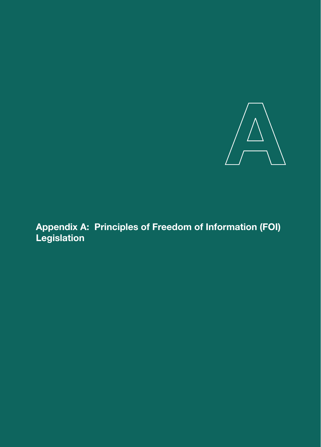

Appendix A: Principles of Freedom of Information (FOI) Legislation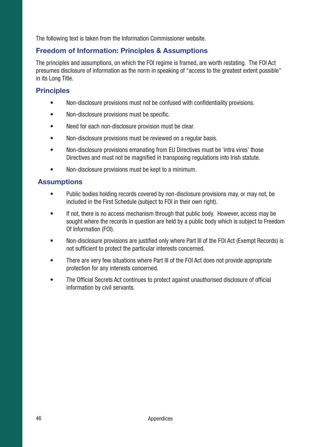The following text is taken from the Information Commissioner website.

### Freedom of Information: Principles & Assumptions

The principles and assumptions, on which the FOI regime is framed, are worth restating. The FOI Act presumes disclosure of information as the norm in speaking of "access to the greatest extent possible" in its Long Title.

### **Principles**

- Non-disclosure provisions must not be confused with confidentiality provisions.
- Non-disclosure provisions must be specific.
- Need for each non-disclosure provision must be clear.
- Non-disclosure provisions must be reviewed on a regular basis.
- Non-disclosure provisions emanating from EU Directives must be 'intra vires' those Directives and must not be magnified in transposing regulations into Irish statute.
- Non-disclosure provisions must be kept to a minimum.

### **Assumptions**

- Public bodies holding records covered by non-disclosure provisions may, or may not, be included in the First Schedule (subject to FOI in their own right).
- If not, there is no access mechanism through that public body. However, access may be sought where the records in question are held by a public body which is subject to Freedom Of Information (FOI).
- Non-disclosure provisions are justified only where Part III of the FOI Act (Exempt Records) is not sufficient to protect the particular interests concerned.
- There are very few situations where Part III of the FOI Act does not provide appropriate protection for any interests concerned.
- The Official Secrets Act continues to protect against unauthorised disclosure of official information by civil servants.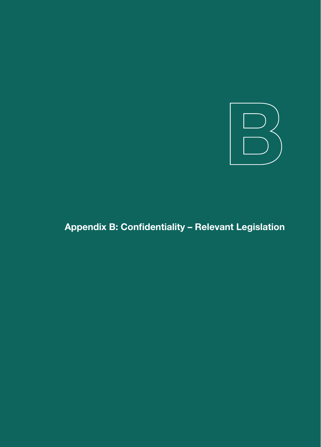

## Appendix B: Confidentiality – Relevant Legislation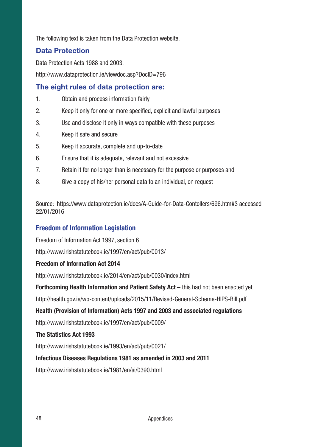The following text is taken from the Data Protection website.

### Data Protection

Data Protection Acts 1988 and 2003.

http://www.dataprotection.ie/viewdoc.asp?DocID=796

### The eight rules of data protection are:

- 1. Obtain and process information fairly
- 2. Keep it only for one or more specified, explicit and lawful purposes
- 3. Use and disclose it only in ways compatible with these purposes
- 4. Keep it safe and secure
- 5. Keep it accurate, complete and up-to-date
- 6. Ensure that it is adequate, relevant and not excessive
- 7. Retain it for no longer than is necessary for the purpose or purposes and
- 8. Give a copy of his/her personal data to an individual, on request

Source: https://www.dataprotection.ie/docs/A-Guide-for-Data-Contollers/696.htm#3 accessed 22/01/2016

### Freedom of Information Legislation

Freedom of Information Act 1997, section 6

http://www.irishstatutebook.ie/1997/en/act/pub/0013/

#### Freedom of Information Act 2014

http://www.irishstatutebook.ie/2014/en/act/pub/0030/index.html

Forthcoming Health Information and Patient Safety Act – this had not been enacted yet

http://health.gov.ie/wp-content/uploads/2015/11/Revised-General-Scheme-HIPS-Bill.pdf

#### Health (Provision of Information) Acts 1997 and 2003 and associated regulations

http://www.irishstatutebook.ie/1997/en/act/pub/0009/

#### The Statistics Act 1993

http://www.irishstatutebook.ie/1993/en/act/pub/0021/

#### Infectious Diseases Regulations 1981 as amended in 2003 and 2011

http://www.irishstatutebook.ie/1981/en/si/0390.html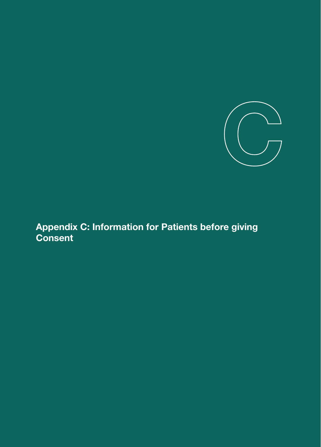

Appendix C: Information for Patients before giving **Consent**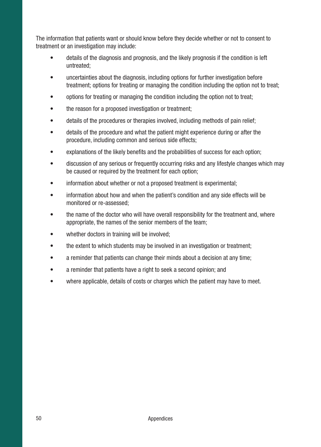The information that patients want or should know before they decide whether or not to consent to treatment or an investigation may include:

- details of the diagnosis and prognosis, and the likely prognosis if the condition is left untreated;
- uncertainties about the diagnosis, including options for further investigation before treatment; options for treating or managing the condition including the option not to treat;
- options for treating or managing the condition including the option not to treat;
- the reason for a proposed investigation or treatment;
- details of the procedures or therapies involved, including methods of pain relief;
- details of the procedure and what the patient might experience during or after the procedure, including common and serious side effects;
- explanations of the likely benefits and the probabilities of success for each option;
- discussion of any serious or frequently occurring risks and any lifestyle changes which may be caused or required by the treatment for each option;
- information about whether or not a proposed treatment is experimental:
- information about how and when the patient's condition and any side effects will be monitored or re-assessed;
- the name of the doctor who will have overall responsibility for the treatment and, where appropriate, the names of the senior members of the team;
- whether doctors in training will be involved:
- the extent to which students may be involved in an investigation or treatment;
- a reminder that patients can change their minds about a decision at any time;
- a reminder that patients have a right to seek a second opinion; and
- where applicable, details of costs or charges which the patient may have to meet.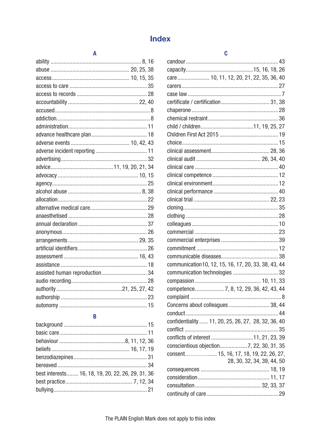### **Index**

#### A

| assisted human reproduction 34 |  |  |
|--------------------------------|--|--|
|                                |  |  |
|                                |  |  |
|                                |  |  |
|                                |  |  |

#### R

| best interests 16, 18, 19, 20, 22, 26, 29, 31, 36 |  |
|---------------------------------------------------|--|
|                                                   |  |
|                                                   |  |

#### candour (23) 43 care...................... 10, 11, 12, 20, 21, 22, 35, 36, 40 communication 10, 12, 15, 16, 17, 20, 33, 38, 43, 44 Concerns about colleagues................................ 38.44 confidentiality ...... 11, 20, 25, 26, 27, 28, 32, 36, 40 conflicts of interest ...............................11, 21, 23, 39 consent................. 15, 16, 17, 18, 19, 22, 26, 27, 28, 30, 32, 34, 39, 44, 50

Ć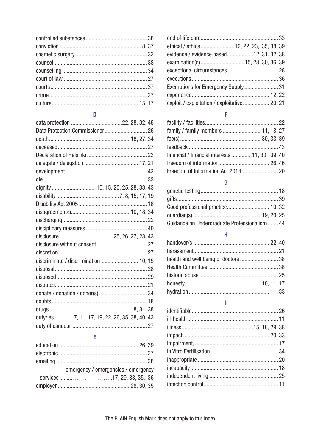#### D

| Data Protection Commissioner 26                |  |
|------------------------------------------------|--|
|                                                |  |
|                                                |  |
|                                                |  |
|                                                |  |
|                                                |  |
|                                                |  |
| dignity  10, 15, 20, 25, 28, 33, 43            |  |
|                                                |  |
|                                                |  |
|                                                |  |
|                                                |  |
|                                                |  |
|                                                |  |
|                                                |  |
|                                                |  |
| discriminate / discrimination 10, 15           |  |
|                                                |  |
|                                                |  |
|                                                |  |
|                                                |  |
|                                                |  |
|                                                |  |
| duty/ies 7, 11, 17, 19, 22, 26, 35, 38, 40, 43 |  |
|                                                |  |

### $\mathsf E$

| emergency / emergencies / emergency |
|-------------------------------------|
|                                     |
|                                     |

| ethical / ethics  12, 22, 23, 35, 38, 39      |  |
|-----------------------------------------------|--|
| evidence / evidence based12, 31, 32, 38       |  |
|                                               |  |
|                                               |  |
|                                               |  |
| Exemptions for Emergency Supply 31            |  |
|                                               |  |
| exploit / exploitation / exploitative  20, 21 |  |

### F

| financial / financial interests 11, 30, 39, 40 |  |
|------------------------------------------------|--|
|                                                |  |
|                                                |  |

### G

| Guidance on Undergraduate Professionalism  44 |  |
|-----------------------------------------------|--|
|                                               |  |

#### H

#### T.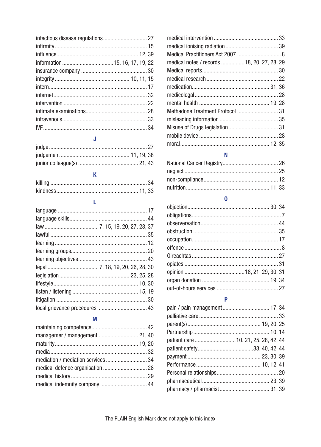### $\mathbf{J}$

| - N |
|-----|

### $\overline{\mathbf{K}}$

#### L

#### M

| managemer / management 21, 40 |  |
|-------------------------------|--|
|                               |  |
|                               |  |
|                               |  |
|                               |  |
|                               |  |
|                               |  |

| medical notes / records 18, 20, 27, 28, 29 |  |
|--------------------------------------------|--|
|                                            |  |
|                                            |  |
|                                            |  |
|                                            |  |
|                                            |  |
| Methadone Treatment Protocol  31           |  |
|                                            |  |
|                                            |  |
|                                            |  |
|                                            |  |

### $\mathsf{N}$

#### $\mathbf 0$

#### $\overline{P}$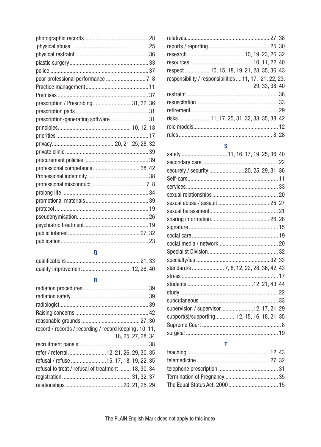| prescription / Prescribing 31, 32, 36 |  |
|---------------------------------------|--|
|                                       |  |
| prescription-generating software31    |  |
|                                       |  |
|                                       |  |
|                                       |  |
|                                       |  |
|                                       |  |
|                                       |  |
|                                       |  |
|                                       |  |
|                                       |  |
|                                       |  |
|                                       |  |
|                                       |  |
|                                       |  |
|                                       |  |
|                                       |  |

#### Q

### R

| record / records / recording / record keeping. 10, 11, |                    |
|--------------------------------------------------------|--------------------|
|                                                        | 18, 25, 27, 28, 34 |
|                                                        |                    |
| refer / referral 12, 21, 26, 29, 30, 35                |                    |
| refusal / refuse  15, 17, 18, 19, 22, 35               |                    |
| refusal to treat / refusal of treatment  18, 30, 34    |                    |
|                                                        |                    |
|                                                        |                    |
|                                                        |                    |

| respect  10, 15, 18, 19, 21, 28, 35, 36, 43            |
|--------------------------------------------------------|
| responsibility / responsibilities  11, 17, 21, 22, 23, |
| 29, 33, 38, 40                                         |
|                                                        |
|                                                        |
|                                                        |
| risks 11, 17, 25, 31, 32, 33, 35, 38, 42               |
|                                                        |
|                                                        |

### S

| safety  11, 16, 17, 19, 25, 36, 40           |
|----------------------------------------------|
|                                              |
| securely / security 20, 25, 29, 31, 36       |
|                                              |
|                                              |
|                                              |
|                                              |
|                                              |
|                                              |
|                                              |
|                                              |
|                                              |
|                                              |
|                                              |
| standard/s  7, 8, 12, 22, 28, 36, 42, 43     |
|                                              |
|                                              |
|                                              |
|                                              |
| supervision / supervisor12, 17, 21, 29       |
| support(s)/supporting 12, 15, 16, 18, 21, 35 |
|                                              |
|                                              |
|                                              |

#### T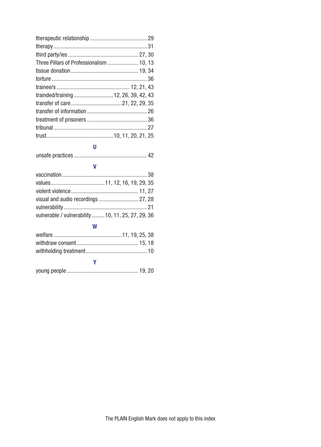| Three Pillars of Professionalism  10, 13 |  |
|------------------------------------------|--|
|                                          |  |
|                                          |  |
|                                          |  |
|                                          |  |
|                                          |  |
|                                          |  |
|                                          |  |
|                                          |  |
|                                          |  |
|                                          |  |

#### U

|--|--|--|

#### V

| vulnerable / vulnerability 10, 11, 25, 27, 29, 36 |  |
|---------------------------------------------------|--|

#### W

### Y young people................................................. 19, 20